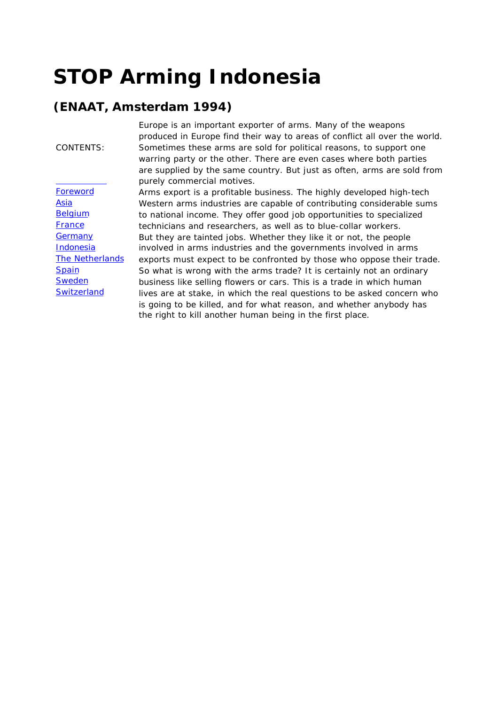# **STOP Arming Indonesia**

#### **(ENAAT, Amsterdam 1994)**

| <b>CONTENTS:</b> |  |
|------------------|--|
|                  |  |

**Foreword** Asia **Belgium** France **Germany** Indonesia The Netherlands **Spain Sweden Switzerland** 

*Europe is an important exporter of arms. Many of the weapons produced in Europe find their way to areas of conflict all over the world. Sometimes these arms are sold for political reasons, to support one warring party or the other. There are even cases where both parties are supplied by the same country. But just as often, arms are sold from purely commercial motives.*

*Arms export is a profitable business. The highly developed high-tech Western arms industries are capable of contributing considerable sums to national income. They offer good job opportunities to specialized technicians and researchers, as well as to blue-collar workers. But they are tainted jobs. Whether they like it or not, the people involved in arms industries and the governments involved in arms exports must expect to be confronted by those who oppose their trade. So what is wrong with the arms trade? It is certainly not an ordinary business like selling flowers or cars. This is a trade in which human lives are at stake, in which the real questions to be asked concern who is going to be killed, and for what reason, and whether anybody has the right to kill another human being in the first place.*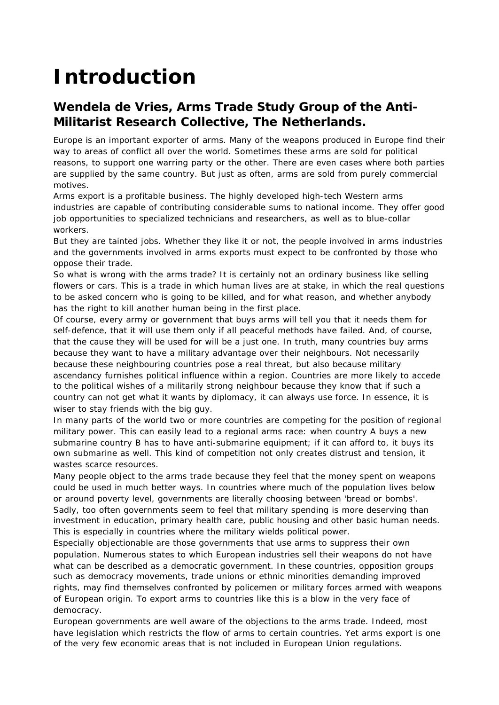# **Introduction**

#### **Wendela de Vries, Arms Trade Study Group of the Anti-Militarist Research Collective, The Netherlands.**

Europe is an important exporter of arms. Many of the weapons produced in Europe find their way to areas of conflict all over the world. Sometimes these arms are sold for political reasons, to support one warring party or the other. There are even cases where both parties are supplied by the same country. But just as often, arms are sold from purely commercial motives.

Arms export is a profitable business. The highly developed high-tech Western arms industries are capable of contributing considerable sums to national income. They offer good job opportunities to specialized technicians and researchers, as well as to blue-collar workers.

But they are tainted jobs. Whether they like it or not, the people involved in arms industries and the governments involved in arms exports must expect to be confronted by those who oppose their trade.

So what is wrong with the arms trade? It is certainly not an ordinary business like selling flowers or cars. This is a trade in which human lives are at stake, in which the real questions to be asked concern who is going to be killed, and for what reason, and whether anybody has the right to kill another human being in the first place.

Of course, every army or government that buys arms will tell you that it needs them for self-defence, that it will use them only if all peaceful methods have failed. And, of course, that the cause they will be used for will be a just one. In truth, many countries buy arms because they want to have a military advantage over their neighbours. Not necessarily because these neighbouring countries pose a real threat, but also because military ascendancy furnishes political influence within a region. Countries are more likely to accede to the political wishes of a militarily strong neighbour because they know that if such a country can not get what it wants by diplomacy, it can always use force. In essence, it is wiser to stay friends with the big guy.

In many parts of the world two or more countries are competing for the position of regional military power. This can easily lead to a regional arms race: when country A buys a new submarine country B has to have anti-submarine equipment; if it can afford to, it buys its own submarine as well. This kind of competition not only creates distrust and tension, it wastes scarce resources.

Many people object to the arms trade because they feel that the money spent on weapons could be used in much better ways. In countries where much of the population lives below or around poverty level, governments are literally choosing between 'bread or bombs'. Sadly, too often governments seem to feel that military spending is more deserving than investment in education, primary health care, public housing and other basic human needs. This is especially in countries where the military wields political power.

Especially objectionable are those governments that use arms to suppress their own population. Numerous states to which European industries sell their weapons do not have what can be described as a democratic government. In these countries, opposition groups such as democracy movements, trade unions or ethnic minorities demanding improved rights, may find themselves confronted by policemen or military forces armed with weapons of European origin. To export arms to countries like this is a blow in the very face of democracy.

European governments are well aware of the objections to the arms trade. Indeed, most have legislation which restricts the flow of arms to certain countries. Yet arms export is one of the very few economic areas that is not included in European Union regulations.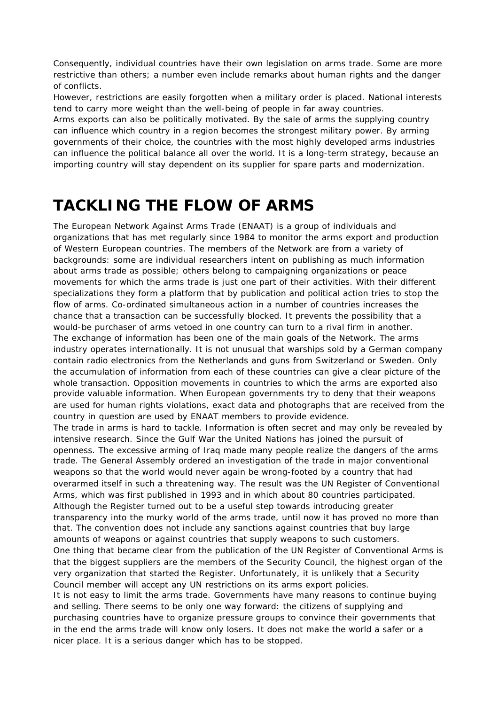Consequently, individual countries have their own legislation on arms trade. Some are more restrictive than others; a number even include remarks about human rights and the danger of conflicts.

However, restrictions are easily forgotten when a military order is placed. National interests tend to carry more weight than the well-being of people in far away countries.

Arms exports can also be politically motivated. By the sale of arms the supplying country can influence which country in a region becomes the strongest military power. By arming governments of their choice, the countries with the most highly developed arms industries can influence the political balance all over the world. It is a long-term strategy, because an importing country will stay dependent on its supplier for spare parts and modernization.

## **TACKLING THE FLOW OF ARMS**

The European Network Against Arms Trade (ENAAT) is a group of individuals and organizations that has met regularly since 1984 to monitor the arms export and production of Western European countries. The members of the Network are from a variety of backgrounds: some are individual researchers intent on publishing as much information about arms trade as possible; others belong to campaigning organizations or peace movements for which the arms trade is just one part of their activities. With their different specializations they form a platform that by publication and political action tries to stop the flow of arms. Co-ordinated simultaneous action in a number of countries increases the chance that a transaction can be successfully blocked. It prevents the possibility that a would-be purchaser of arms vetoed in one country can turn to a rival firm in another. The exchange of information has been one of the main goals of the Network. The arms industry operates internationally. It is not unusual that warships sold by a German company contain radio electronics from the Netherlands and guns from Switzerland or Sweden. Only the accumulation of information from each of these countries can give a clear picture of the whole transaction. Opposition movements in countries to which the arms are exported also provide valuable information. When European governments try to deny that their weapons are used for human rights violations, exact data and photographs that are received from the country in question are used by ENAAT members to provide evidence. The trade in arms is hard to tackle. Information is often secret and may only be revealed by intensive research. Since the Gulf War the United Nations has joined the pursuit of openness. The excessive arming of Iraq made many people realize the dangers of the arms trade. The General Assembly ordered an investigation of the trade in major conventional weapons so that the world would never again be wrong-footed by a country that had overarmed itself in such a threatening way. The result was the UN Register of Conventional Arms, which was first published in 1993 and in which about 80 countries participated. Although the Register turned out to be a useful step towards introducing greater transparency into the murky world of the arms trade, until now it has proved no more than that. The convention does not include any sanctions against countries that buy large amounts of weapons or against countries that supply weapons to such customers. One thing that became clear from the publication of the UN Register of Conventional Arms is that the biggest suppliers are the members of the Security Council, the highest organ of the very organization that started the Register. Unfortunately, it is unlikely that a Security Council member will accept any UN restrictions on its arms export policies. It is not easy to limit the arms trade. Governments have many reasons to continue buying and selling. There seems to be only one way forward: the citizens of supplying and purchasing countries have to organize pressure groups to convince their governments that in the end the arms trade will know only losers. It does not make the world a safer or a nicer place. It is a serious danger which has to be stopped.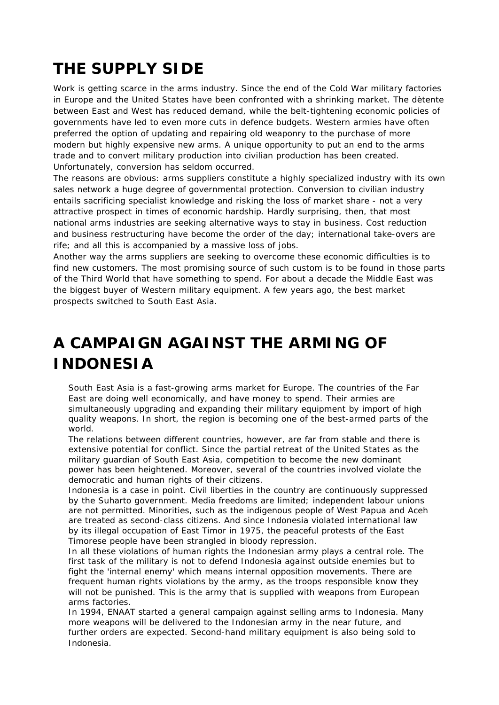# **THE SUPPLY SIDE**

Work is getting scarce in the arms industry. Since the end of the Cold War military factories in Europe and the United States have been confronted with a shrinking market. The dètente between East and West has reduced demand, while the belt-tightening economic policies of governments have led to even more cuts in defence budgets. Western armies have often preferred the option of updating and repairing old weaponry to the purchase of more modern but highly expensive new arms. A unique opportunity to put an end to the arms trade and to convert military production into civilian production has been created. Unfortunately, conversion has seldom occurred.

The reasons are obvious: arms suppliers constitute a highly specialized industry with its own sales network a huge degree of governmental protection. Conversion to civilian industry entails sacrificing specialist knowledge and risking the loss of market share - not a very attractive prospect in times of economic hardship. Hardly surprising, then, that most national arms industries are seeking alternative ways to stay in business. Cost reduction and business restructuring have become the order of the day; international take-overs are rife; and all this is accompanied by a massive loss of jobs.

Another way the arms suppliers are seeking to overcome these economic difficulties is to find new customers. The most promising source of such custom is to be found in those parts of the Third World that have something to spend. For about a decade the Middle East was the biggest buyer of Western military equipment. A few years ago, the best market prospects switched to South East Asia.

# **A CAMPAIGN AGAINST THE ARMING OF INDONESIA**

South East Asia is a fast-growing arms market for Europe. The countries of the Far East are doing well economically, and have money to spend. Their armies are simultaneously upgrading and expanding their military equipment by import of high quality weapons. In short, the region is becoming one of the best-armed parts of the world.

The relations between different countries, however, are far from stable and there is extensive potential for conflict. Since the partial retreat of the United States as the military guardian of South East Asia, competition to become the new dominant power has been heightened. Moreover, several of the countries involved violate the democratic and human rights of their citizens.

Indonesia is a case in point. Civil liberties in the country are continuously suppressed by the Suharto government. Media freedoms are limited; independent labour unions are not permitted. Minorities, such as the indigenous people of West Papua and Aceh are treated as second-class citizens. And since Indonesia violated international law by its illegal occupation of East Timor in 1975, the peaceful protests of the East Timorese people have been strangled in bloody repression.

In all these violations of human rights the Indonesian army plays a central role. The first task of the military is not to defend Indonesia against outside enemies but to fight the 'internal enemy' which means internal opposition movements. There are frequent human rights violations by the army, as the troops responsible know they will not be punished. This is the army that is supplied with weapons from European arms factories.

In 1994, ENAAT started a general campaign against selling arms to Indonesia. Many more weapons will be delivered to the Indonesian army in the near future, and further orders are expected. Second-hand military equipment is also being sold to Indonesia.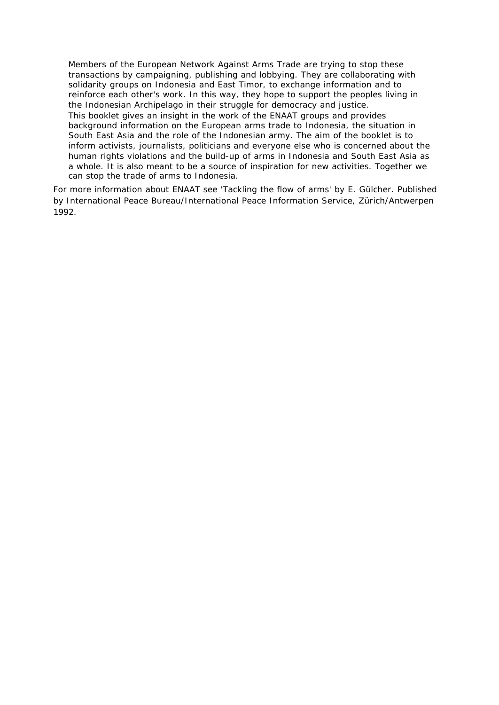Members of the European Network Against Arms Trade are trying to stop these transactions by campaigning, publishing and lobbying. They are collaborating with solidarity groups on Indonesia and East Timor, to exchange information and to reinforce each other's work. In this way, they hope to support the peoples living in the Indonesian Archipelago in their struggle for democracy and justice. This booklet gives an insight in the work of the ENAAT groups and provides background information on the European arms trade to Indonesia, the situation in South East Asia and the role of the Indonesian army. The aim of the booklet is to inform activists, journalists, politicians and everyone else who is concerned about the human rights violations and the build-up of arms in Indonesia and South East Asia as a whole. It is also meant to be a source of inspiration for new activities. Together we can stop the trade of arms to Indonesia.

For more information about ENAAT see 'Tackling the flow of arms' by E. Gülcher. Published by International Peace Bureau/International Peace Information Service, Zürich/Antwerpen 1992.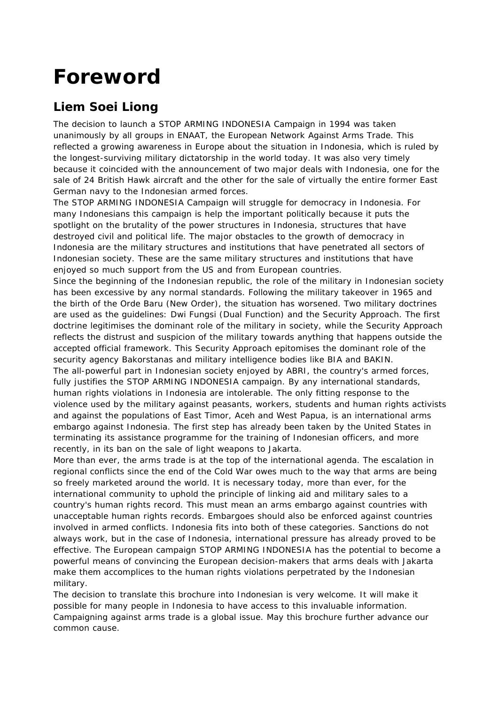# **Foreword**

#### **Liem Soei Liong**

The decision to launch a STOP ARMING INDONESIA Campaign in 1994 was taken unanimously by all groups in ENAAT, the European Network Against Arms Trade. This reflected a growing awareness in Europe about the situation in Indonesia, which is ruled by the longest-surviving military dictatorship in the world today. It was also very timely because it coincided with the announcement of two major deals with Indonesia, one for the sale of 24 British Hawk aircraft and the other for the sale of virtually the entire former East German navy to the Indonesian armed forces.

The STOP ARMING INDONESIA Campaign will struggle for democracy in Indonesia. For many Indonesians this campaign is help the important politically because it puts the spotlight on the brutality of the power structures in Indonesia, structures that have destroyed civil and political life. The major obstacles to the growth of democracy in Indonesia are the military structures and institutions that have penetrated all sectors of Indonesian society. These are the same military structures and institutions that have enjoyed so much support from the US and from European countries.

Since the beginning of the Indonesian republic, the role of the military in Indonesian society has been excessive by any normal standards. Following the military takeover in 1965 and the birth of the Orde Baru (New Order), the situation has worsened. Two military doctrines are used as the guidelines: Dwi Fungsi (Dual Function) and the Security Approach. The first doctrine legitimises the dominant role of the military in society, while the Security Approach reflects the distrust and suspicion of the military towards anything that happens outside the accepted official framework. This Security Approach epitomises the dominant role of the security agency Bakorstanas and military intelligence bodies like BIA and BAKIN. The all-powerful part in Indonesian society enjoyed by ABRI, the country's armed forces,

fully justifies the STOP ARMING INDONESIA campaign. By any international standards, human rights violations in Indonesia are intolerable. The only fitting response to the violence used by the military against peasants, workers, students and human rights activists and against the populations of East Timor, Aceh and West Papua, is an international arms embargo against Indonesia. The first step has already been taken by the United States in terminating its assistance programme for the training of Indonesian officers, and more recently, in its ban on the sale of light weapons to Jakarta.

More than ever, the arms trade is at the top of the international agenda. The escalation in regional conflicts since the end of the Cold War owes much to the way that arms are being so freely marketed around the world. It is necessary today, more than ever, for the international community to uphold the principle of linking aid and military sales to a country's human rights record. This must mean an arms embargo against countries with unacceptable human rights records. Embargoes should also be enforced against countries involved in armed conflicts. Indonesia fits into both of these categories. Sanctions do not always work, but in the case of Indonesia, international pressure has already proved to be effective. The European campaign STOP ARMING INDONESIA has the potential to become a powerful means of convincing the European decision-makers that arms deals with Jakarta make them accomplices to the human rights violations perpetrated by the Indonesian military.

The decision to translate this brochure into Indonesian is very welcome. It will make it possible for many people in Indonesia to have access to this invaluable information. Campaigning against arms trade is a global issue. May this brochure further advance our common cause.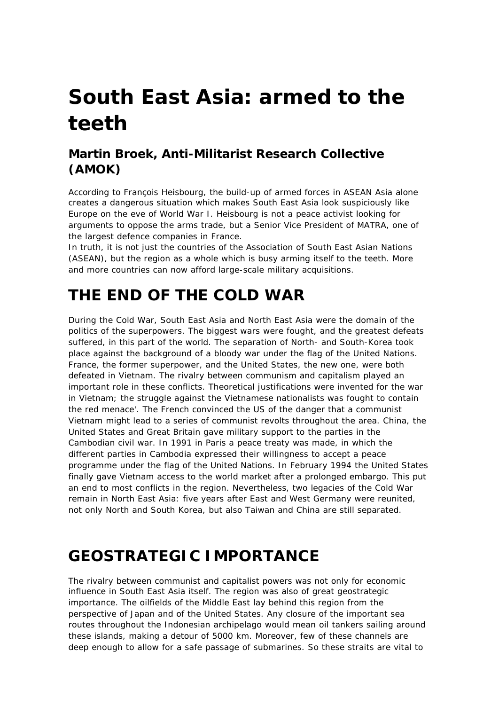# **South East Asia: armed to the teeth**

#### **Martin Broek, Anti-Militarist Research Collective (AMOK)**

*According to François Heisbourg, the build-up of armed forces in ASEAN Asia alone creates a dangerous situation which makes South East Asia look suspiciously like Europe on the eve of World War I. Heisbourg is not a peace activist looking for arguments to oppose the arms trade, but a Senior Vice President of MATRA, one of the largest defence companies in France.*

*In truth, it is not just the countries of the Association of South East Asian Nations (ASEAN), but the region as a whole which is busy arming itself to the teeth. More and more countries can now afford large-scale military acquisitions.*

## **THE END OF THE COLD WAR**

During the Cold War, South East Asia and North East Asia were the domain of the politics of the superpowers. The biggest wars were fought, and the greatest defeats suffered, in this part of the world. The separation of North- and South-Korea took place against the background of a bloody war under the flag of the United Nations. France, the former superpower, and the United States, the new one, were both defeated in Vietnam. The rivalry between communism and capitalism played an important role in these conflicts. Theoretical justifications were invented for the war in Vietnam; the struggle against the Vietnamese nationalists was fought to contain the red menace'. The French convinced the US of the danger that a communist Vietnam might lead to a series of communist revolts throughout the area. China, the United States and Great Britain gave military support to the parties in the Cambodian civil war. In 1991 in Paris a peace treaty was made, in which the different parties in Cambodia expressed their willingness to accept a peace programme under the flag of the United Nations. In February 1994 the United States finally gave Vietnam access to the world market after a prolonged embargo. This put an end to most conflicts in the region. Nevertheless, two legacies of the Cold War remain in North East Asia: five years after East and West Germany were reunited, not only North and South Korea, but also Taiwan and China are still separated.

## **GEOSTRATEGIC IMPORTANCE**

The rivalry between communist and capitalist powers was not only for economic influence in South East Asia itself. The region was also of great geostrategic importance. The oilfields of the Middle East lay behind this region from the perspective of Japan and of the United States. Any closure of the important sea routes throughout the Indonesian archipelago would mean oil tankers sailing around these islands, making a detour of 5000 km. Moreover, few of these channels are deep enough to allow for a safe passage of submarines. So these straits are vital to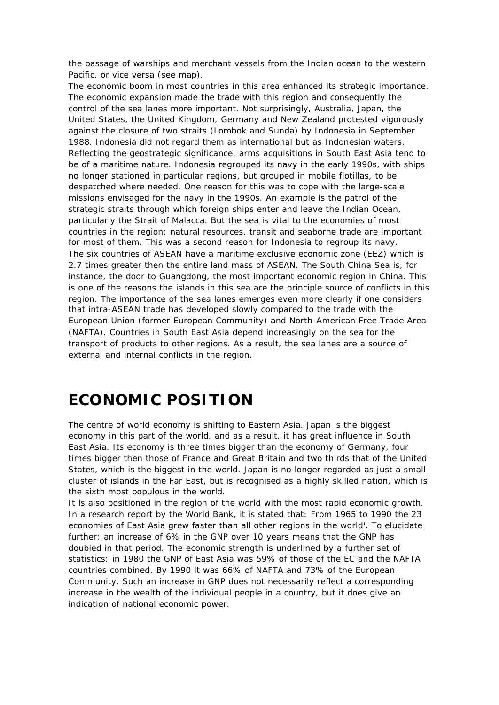the passage of warships and merchant vessels from the Indian ocean to the western Pacific, or vice versa (see map).

The economic boom in most countries in this area enhanced its strategic importance. The economic expansion made the trade with this region and consequently the control of the sea lanes more important. Not surprisingly, Australia, Japan, the United States, the United Kingdom, Germany and New Zealand protested vigorously against the closure of two straits (Lombok and Sunda) by Indonesia in September 1988. Indonesia did not regard them as international but as Indonesian waters. Reflecting the geostrategic significance, arms acquisitions in South East Asia tend to be of a maritime nature. Indonesia regrouped its navy in the early 1990s, with ships no longer stationed in particular regions, but grouped in mobile flotillas, to be despatched where needed. One reason for this was to cope with the large-scale missions envisaged for the navy in the 1990s. An example is the patrol of the strategic straits through which foreign ships enter and leave the Indian Ocean, particularly the Strait of Malacca. But the sea is vital to the economies of most countries in the region: natural resources, transit and seaborne trade are important for most of them. This was a second reason for Indonesia to regroup its navy. The six countries of ASEAN have a maritime exclusive economic zone (EEZ) which is 2.7 times greater then the entire land mass of ASEAN. The South China Sea is, for instance, the door to Guangdong, the most important economic region in China. This is one of the reasons the islands in this sea are the principle source of conflicts in this region. The importance of the sea lanes emerges even more clearly if one considers that intra-ASEAN trade has developed slowly compared to the trade with the European Union (former European Community) and North-American Free Trade Area (NAFTA). Countries in South East Asia depend increasingly on the sea for the transport of products to other regions. As a result, the sea lanes are a source of external and internal conflicts in the region.

## **ECONOMIC POSITION**

The centre of world economy is shifting to Eastern Asia. Japan is the biggest economy in this part of the world, and as a result, it has great influence in South East Asia. Its economy is three times bigger than the economy of Germany, four times bigger then those of France and Great Britain and two thirds that of the United States, which is the biggest in the world. Japan is no longer regarded as just a small cluster of islands in the Far East, but is recognised as a highly skilled nation, which is the sixth most populous in the world.

It is also positioned in the region of the world with the most rapid economic growth. In a research report by the World Bank, it is stated that: From 1965 to 1990 the 23 economies of East Asia grew faster than all other regions in the world'. To elucidate further: an increase of 6% in the GNP over 10 years means that the GNP has doubled in that period. The economic strength is underlined by a further set of statistics: in 1980 the GNP of East Asia was 59% of those of the EC and the NAFTA countries combined. By 1990 it was 66% of NAFTA and 73% of the European Community. Such an increase in GNP does not necessarily reflect a corresponding increase in the wealth of the individual people in a country, but it does give an indication of national economic power.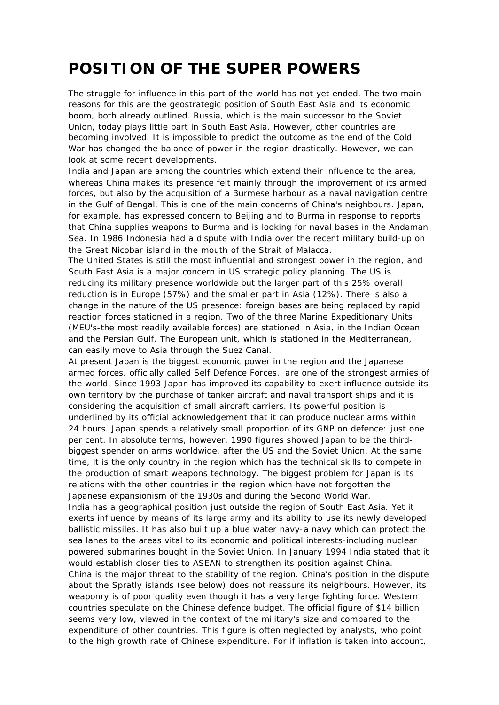## **POSITION OF THE SUPER POWERS**

The struggle for influence in this part of the world has not yet ended. The two main reasons for this are the geostrategic position of South East Asia and its economic boom, both already outlined. Russia, which is the main successor to the Soviet Union, today plays little part in South East Asia. However, other countries are becoming involved. It is impossible to predict the outcome as the end of the Cold War has changed the balance of power in the region drastically. However, we can look at some recent developments.

India and Japan are among the countries which extend their influence to the area, whereas China makes its presence felt mainly through the improvement of its armed forces, but also by the acquisition of a Burmese harbour as a naval navigation centre in the Gulf of Bengal. This is one of the main concerns of China's neighbours. Japan, for example, has expressed concern to Beijing and to Burma in response to reports that China supplies weapons to Burma and is looking for naval bases in the Andaman Sea. In 1986 Indonesia had a dispute with India over the recent military build-up on the Great Nicobar island in the mouth of the Strait of Malacca.

The United States is still the most influential and strongest power in the region, and South East Asia is a major concern in US strategic policy planning. The US is reducing its military presence worldwide but the larger part of this 25% overall reduction is in Europe (57%) and the smaller part in Asia (12%). There is also a change in the nature of the US presence: foreign bases are being replaced by rapid reaction forces stationed in a region. Two of the three Marine Expeditionary Units (MEU's-the most readily available forces) are stationed in Asia, in the Indian Ocean and the Persian Gulf. The European unit, which is stationed in the Mediterranean, can easily move to Asia through the Suez Canal.

At present Japan is the biggest economic power in the region and the Japanese armed forces, officially called Self Defence Forces,' are one of the strongest armies of the world. Since 1993 Japan has improved its capability to exert influence outside its own territory by the purchase of tanker aircraft and naval transport ships and it is considering the acquisition of small aircraft carriers. Its powerful position is underlined by its official acknowledgement that it can produce nuclear arms within 24 hours. Japan spends a relatively small proportion of its GNP on defence: just one per cent. In absolute terms, however, 1990 figures showed Japan to be the thirdbiggest spender on arms worldwide, after the US and the Soviet Union. At the same time, it is the only country in the region which has the technical skills to compete in the production of smart weapons technology. The biggest problem for Japan is its relations with the other countries in the region which have not forgotten the Japanese expansionism of the 1930s and during the Second World War.

India has a geographical position just outside the region of South East Asia. Yet it exerts influence by means of its large army and its ability to use its newly developed ballistic missiles. It has also built up a blue water navy-a navy which can protect the sea lanes to the areas vital to its economic and political interests-including nuclear powered submarines bought in the Soviet Union. In January 1994 India stated that it would establish closer ties to ASEAN to strengthen its position against China. China is the major threat to the stability of the region. China's position in the dispute about the Spratly islands (see below) does not reassure its neighbours. However, its weaponry is of poor quality even though it has a very large fighting force. Western countries speculate on the Chinese defence budget. The official figure of \$14 billion seems very low, viewed in the context of the military's size and compared to the expenditure of other countries. This figure is often neglected by analysts, who point to the high growth rate of Chinese expenditure. For if inflation is taken into account,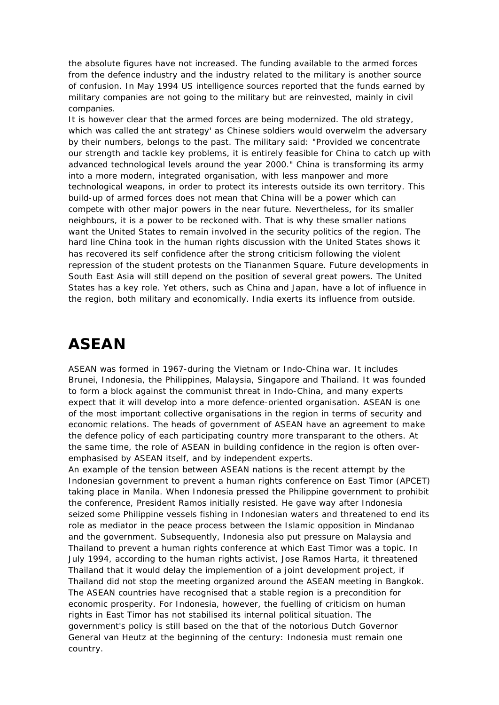the absolute figures have not increased. The funding available to the armed forces from the defence industry and the industry related to the military is another source of confusion. In May 1994 US intelligence sources reported that the funds earned by military companies are not going to the military but are reinvested, mainly in civil companies.

It is however clear that the armed forces are being modernized. The old strategy, which was called the ant strategy' as Chinese soldiers would overwelm the adversary by their numbers, belongs to the past. The military said: "Provided we concentrate our strength and tackle key problems, it is entirely feasible for China to catch up with advanced technological levels around the year 2000." China is transforming its army into a more modern, integrated organisation, with less manpower and more technological weapons, in order to protect its interests outside its own territory. This build-up of armed forces does not mean that China will be a power which can compete with other major powers in the near future. Nevertheless, for its smaller neighbours, it is a power to be reckoned with. That is why these smaller nations want the United States to remain involved in the security politics of the region. The hard line China took in the human rights discussion with the United States shows it has recovered its self confidence after the strong criticism following the violent repression of the student protests on the Tiananmen Square. Future developments in South East Asia will still depend on the position of several great powers. The United States has a key role. Yet others, such as China and Japan, have a lot of influence in the region, both military and economically. India exerts its influence from outside.

### **ASEAN**

ASEAN was formed in 1967-during the Vietnam or Indo-China war. It includes Brunei, Indonesia, the Philippines, Malaysia, Singapore and Thailand. It was founded to form a block against the communist threat in Indo-China, and many experts expect that it will develop into a more defence-oriented organisation. ASEAN is one of the most important collective organisations in the region in terms of security and economic relations. The heads of government of ASEAN have an agreement to make the defence policy of each participating country more transparant to the others. At the same time, the role of ASEAN in building confidence in the region is often overemphasised by ASEAN itself, and by independent experts.

An example of the tension between ASEAN nations is the recent attempt by the Indonesian government to prevent a human rights conference on East Timor (APCET) taking place in Manila. When Indonesia pressed the Philippine government to prohibit the conference, President Ramos initially resisted. He gave way after Indonesia seized some Philippine vessels fishing in Indonesian waters and threatened to end its role as mediator in the peace process between the Islamic opposition in Mindanao and the government. Subsequently, Indonesia also put pressure on Malaysia and Thailand to prevent a human rights conference at which East Timor was a topic. In July 1994, according to the human rights activist, Jose Ramos Harta, it threatened Thailand that it would delay the implemention of a joint development project, if Thailand did not stop the meeting organized around the ASEAN meeting in Bangkok. The ASEAN countries have recognised that a stable region is a precondition for economic prosperity. For Indonesia, however, the fuelling of criticism on human rights in East Timor has not stabilised its internal political situation. The government's policy is still based on the that of the notorious Dutch Governor General van Heutz at the beginning of the century: Indonesia must remain one country.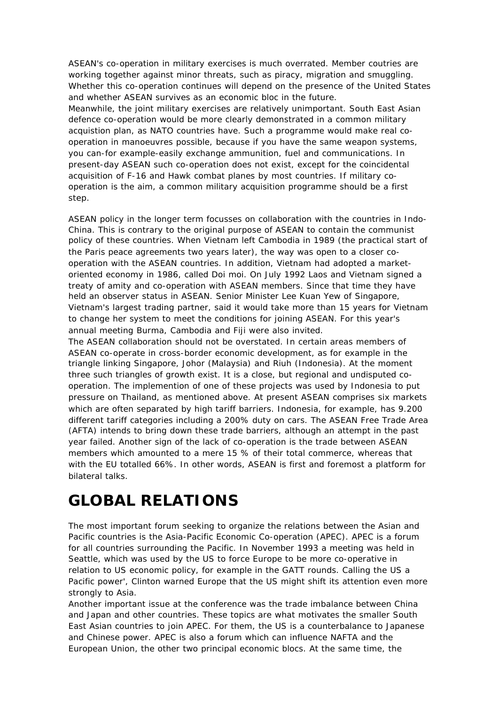ASEAN's co-operation in military exercises is much overrated. Member coutries are working together against minor threats, such as piracy, migration and smuggling. Whether this co-operation continues will depend on the presence of the United States and whether ASEAN survives as an economic bloc in the future.

Meanwhile, the joint military exercises are relatively unimportant. South East Asian defence co-operation would be more clearly demonstrated in a common military acquistion plan, as NATO countries have. Such a programme would make real cooperation in manoeuvres possible, because if you have the same weapon systems, you can-for example-easily exchange ammunition, fuel and communications. In present-day ASEAN such co-operation does not exist, except for the coincidental acquisition of F-16 and Hawk combat planes by most countries. If military cooperation is the aim, a common military acquisition programme should be a first step.

ASEAN policy in the longer term focusses on collaboration with the countries in Indo-China. This is contrary to the original purpose of ASEAN to contain the communist policy of these countries. When Vietnam left Cambodia in 1989 (the practical start of the Paris peace agreements two years later), the way was open to a closer cooperation with the ASEAN countries. In addition, Vietnam had adopted a marketoriented economy in 1986, called Doi moi. On July 1992 Laos and Vietnam signed a treaty of amity and co-operation with ASEAN members. Since that time they have held an observer status in ASEAN. Senior Minister Lee Kuan Yew of Singapore, Vietnam's largest trading partner, said it would take more than 15 years for Vietnam to change her system to meet the conditions for joining ASEAN. For this year's annual meeting Burma, Cambodia and Fiji were also invited.

The ASEAN collaboration should not be overstated. In certain areas members of ASEAN co-operate in cross-border economic development, as for example in the triangle linking Singapore, Johor (Malaysia) and Riuh (Indonesia). At the moment three such triangles of growth exist. It is a close, but regional and undisputed cooperation. The implemention of one of these projects was used by Indonesia to put pressure on Thailand, as mentioned above. At present ASEAN comprises six markets which are often separated by high tariff barriers. Indonesia, for example, has 9.200 different tariff categories including a 200% duty on cars. The ASEAN Free Trade Area (AFTA) intends to bring down these trade barriers, although an attempt in the past year failed. Another sign of the lack of co-operation is the trade between ASEAN members which amounted to a mere 15 % of their total commerce, whereas that with the EU totalled 66%. In other words, ASEAN is first and foremost a platform for bilateral talks.

### **GLOBAL RELATIONS**

The most important forum seeking to organize the relations between the Asian and Pacific countries is the Asia-Pacific Economic Co-operation (APEC). APEC is a forum for all countries surrounding the Pacific. In November 1993 a meeting was held in Seattle, which was used by the US to force Europe to be more co-operative in relation to US economic policy, for example in the GATT rounds. Calling the US a Pacific power', Clinton warned Europe that the US might shift its attention even more strongly to Asia.

Another important issue at the conference was the trade imbalance between China and Japan and other countries. These topics are what motivates the smaller South East Asian countries to join APEC. For them, the US is a counterbalance to Japanese and Chinese power. APEC is also a forum which can influence NAFTA and the European Union, the other two principal economic blocs. At the same time, the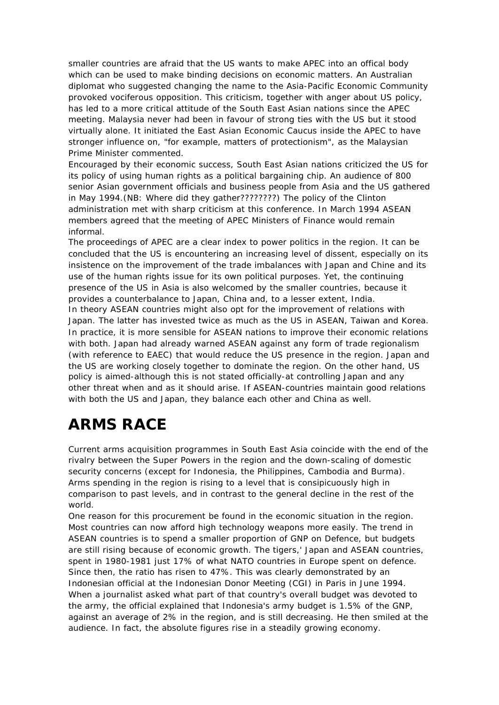smaller countries are afraid that the US wants to make APEC into an offical body which can be used to make binding decisions on economic matters. An Australian diplomat who suggested changing the name to the Asia-Pacific Economic Community provoked vociferous opposition. This criticism, together with anger about US policy, has led to a more critical attitude of the South East Asian nations since the APEC meeting. Malaysia never had been in favour of strong ties with the US but it stood virtually alone. It initiated the East Asian Economic Caucus inside the APEC to have stronger influence on, "for example, matters of protectionism", as the Malaysian Prime Minister commented.

Encouraged by their economic success, South East Asian nations criticized the US for its policy of using human rights as a political bargaining chip. An audience of 800 senior Asian government officials and business people from Asia and the US gathered in May 1994.(NB: Where did they gather????????) The policy of the Clinton administration met with sharp criticism at this conference. In March 1994 ASEAN members agreed that the meeting of APEC Ministers of Finance would remain informal.

The proceedings of APEC are a clear index to power politics in the region. It can be concluded that the US is encountering an increasing level of dissent, especially on its insistence on the improvement of the trade imbalances with Japan and Chine and its use of the human rights issue for its own political purposes. Yet, the continuing presence of the US in Asia is also welcomed by the smaller countries, because it provides a counterbalance to Japan, China and, to a lesser extent, India. In theory ASEAN countries might also opt for the improvement of relations with Japan. The latter has invested twice as much as the US in ASEAN, Taiwan and Korea. In practice, it is more sensible for ASEAN nations to improve their economic relations with both. Japan had already warned ASEAN against any form of trade regionalism (with reference to EAEC) that would reduce the US presence in the region. Japan and the US are working closely together to dominate the region. On the other hand, US policy is aimed-although this is not stated officially-at controlling Japan and any other threat when and as it should arise. If ASEAN-countries maintain good relations with both the US and Japan, they balance each other and China as well.

## **ARMS RACE**

Current arms acquisition programmes in South East Asia coincide with the end of the rivalry between the Super Powers in the region and the down-scaling of domestic security concerns (except for Indonesia, the Philippines, Cambodia and Burma). Arms spending in the region is rising to a level that is consipicuously high in comparison to past levels, and in contrast to the general decline in the rest of the world.

One reason for this procurement be found in the economic situation in the region. Most countries can now afford high technology weapons more easily. The trend in ASEAN countries is to spend a smaller proportion of GNP on Defence, but budgets are still rising because of economic growth. The tigers,' Japan and ASEAN countries, spent in 1980-1981 just 17% of what NATO countries in Europe spent on defence. Since then, the ratio has risen to 47%. This was clearly demonstrated by an Indonesian official at the Indonesian Donor Meeting (CGI) in Paris in June 1994. When a journalist asked what part of that country's overall budget was devoted to the army, the official explained that Indonesia's army budget is 1.5% of the GNP, against an average of 2% in the region, and is still decreasing. He then smiled at the audience. In fact, the absolute figures rise in a steadily growing economy.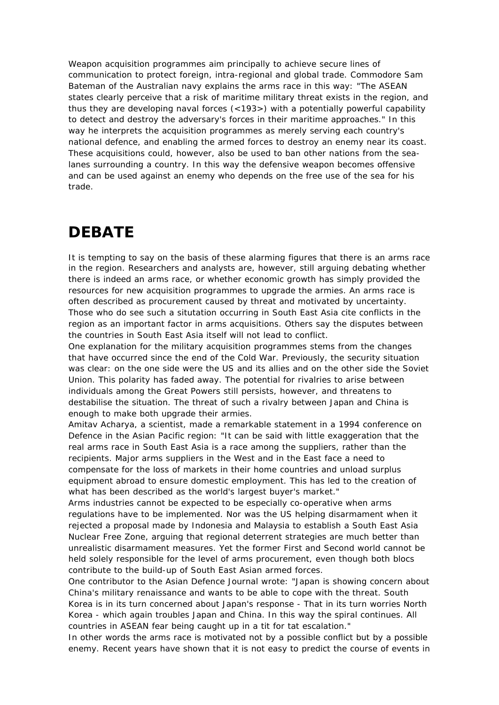Weapon acquisition programmes aim principally to achieve secure lines of communication to protect foreign, intra-regional and global trade. Commodore Sam Bateman of the Australian navy explains the arms race in this way: "The ASEAN states clearly perceive that a risk of maritime military threat exists in the region, and thus they are developing naval forces (<193>) with a potentially powerful capability to detect and destroy the adversary's forces in their maritime approaches." In this way he interprets the acquisition programmes as merely serving each country's national defence, and enabling the armed forces to destroy an enemy near its coast. These acquisitions could, however, also be used to ban other nations from the sealanes surrounding a country. In this way the defensive weapon becomes offensive and can be used against an enemy who depends on the free use of the sea for his trade.

#### **DEBATE**

It is tempting to say on the basis of these alarming figures that there is an arms race in the region. Researchers and analysts are, however, still arguing debating whether there is indeed an arms race, or whether economic growth has simply provided the resources for new acquisition programmes to upgrade the armies. An arms race is often described as procurement caused by threat and motivated by uncertainty. Those who do see such a situtation occurring in South East Asia cite conflicts in the region as an important factor in arms acquisitions. Others say the disputes between the countries in South East Asia itself will not lead to conflict.

One explanation for the military acquisition programmes stems from the changes that have occurred since the end of the Cold War. Previously, the security situation was clear: on the one side were the US and its allies and on the other side the Soviet Union. This polarity has faded away. The potential for rivalries to arise between individuals among the Great Powers still persists, however, and threatens to destabilise the situation. The threat of such a rivalry between Japan and China is enough to make both upgrade their armies.

Amitav Acharya, a scientist, made a remarkable statement in a 1994 conference on Defence in the Asian Pacific region: "It can be said with little exaggeration that the real arms race in South East Asia is a race among the suppliers, rather than the recipients. Major arms suppliers in the West and in the East face a need to compensate for the loss of markets in their home countries and unload surplus equipment abroad to ensure domestic employment. This has led to the creation of what has been described as the world's largest buyer's market."

Arms industries cannot be expected to be especially co-operative when arms regulations have to be implemented. Nor was the US helping disarmament when it rejected a proposal made by Indonesia and Malaysia to establish a South East Asia Nuclear Free Zone, arguing that regional deterrent strategies are much better than unrealistic disarmament measures. Yet the former First and Second world cannot be held solely responsible for the level of arms procurement, even though both blocs contribute to the build-up of South East Asian armed forces.

One contributor to the Asian Defence Journal wrote: "Japan is showing concern about China's military renaissance and wants to be able to cope with the threat. South Korea is in its turn concerned about Japan's response - That in its turn worries North Korea - which again troubles Japan and China. In this way the spiral continues. All countries in ASEAN fear being caught up in a tit for tat escalation."

In other words the arms race is motivated not by a possible conflict but by a possible enemy. Recent years have shown that it is not easy to predict the course of events in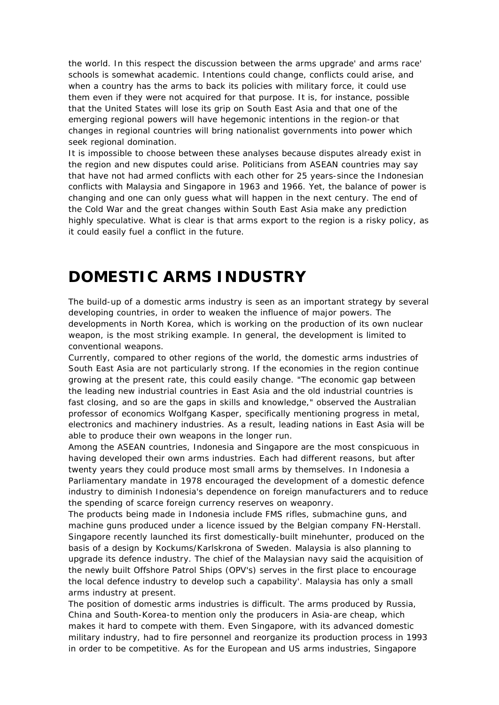the world. In this respect the discussion between the arms upgrade' and arms race' schools is somewhat academic. Intentions could change, conflicts could arise, and when a country has the arms to back its policies with military force, it could use them even if they were not acquired for that purpose. It is, for instance, possible that the United States will lose its grip on South East Asia and that one of the emerging regional powers will have hegemonic intentions in the region-or that changes in regional countries will bring nationalist governments into power which seek regional domination.

It is impossible to choose between these analyses because disputes already exist in the region and new disputes could arise. Politicians from ASEAN countries may say that have not had armed conflicts with each other for 25 years-since the Indonesian conflicts with Malaysia and Singapore in 1963 and 1966. Yet, the balance of power is changing and one can only guess what will happen in the next century. The end of the Cold War and the great changes within South East Asia make any prediction highly speculative. What is clear is that arms export to the region is a risky policy, as it could easily fuel a conflict in the future.

### **DOMESTIC ARMS INDUSTRY**

The build-up of a domestic arms industry is seen as an important strategy by several developing countries, in order to weaken the influence of major powers. The developments in North Korea, which is working on the production of its own nuclear weapon, is the most striking example. In general, the development is limited to conventional weapons.

Currently, compared to other regions of the world, the domestic arms industries of South East Asia are not particularly strong. If the economies in the region continue growing at the present rate, this could easily change. "The economic gap between the leading new industrial countries in East Asia and the old industrial countries is fast closing, and so are the gaps in skills and knowledge," observed the Australian professor of economics Wolfgang Kasper, specifically mentioning progress in metal, electronics and machinery industries. As a result, leading nations in East Asia will be able to produce their own weapons in the longer run.

Among the ASEAN countries, Indonesia and Singapore are the most conspicuous in having developed their own arms industries. Each had different reasons, but after twenty years they could produce most small arms by themselves. In Indonesia a Parliamentary mandate in 1978 encouraged the development of a domestic defence industry to diminish Indonesia's dependence on foreign manufacturers and to reduce the spending of scarce foreign currency reserves on weaponry.

The products being made in Indonesia include FMS rifles, submachine guns, and machine guns produced under a licence issued by the Belgian company FN-Herstall. Singapore recently launched its first domestically-built minehunter, produced on the basis of a design by Kockums/Karlskrona of Sweden. Malaysia is also planning to upgrade its defence industry. The chief of the Malaysian navy said the acquisition of the newly built Offshore Patrol Ships (OPV's) serves in the first place to encourage the local defence industry to develop such a capability'. Malaysia has only a small arms industry at present.

The position of domestic arms industries is difficult. The arms produced by Russia, China and South-Korea-to mention only the producers in Asia-are cheap, which makes it hard to compete with them. Even Singapore, with its advanced domestic military industry, had to fire personnel and reorganize its production process in 1993 in order to be competitive. As for the European and US arms industries, Singapore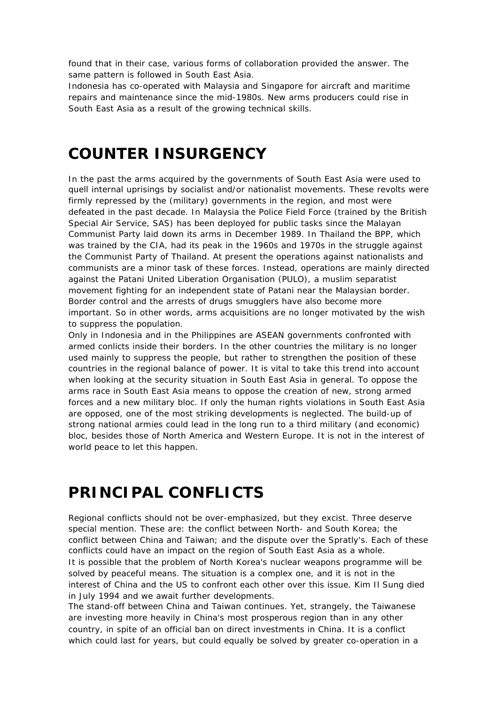found that in their case, various forms of collaboration provided the answer. The same pattern is followed in South East Asia.

Indonesia has co-operated with Malaysia and Singapore for aircraft and maritime repairs and maintenance since the mid-1980s. New arms producers could rise in South East Asia as a result of the growing technical skills.

#### **COUNTER INSURGENCY**

In the past the arms acquired by the governments of South East Asia were used to quell internal uprisings by socialist and/or nationalist movements. These revolts were firmly repressed by the (military) governments in the region, and most were defeated in the past decade. In Malaysia the Police Field Force (trained by the British Special Air Service, SAS) has been deployed for public tasks since the Malayan Communist Party laid down its arms in December 1989. In Thailand the BPP, which was trained by the CIA, had its peak in the 1960s and 1970s in the struggle against the Communist Party of Thailand. At present the operations against nationalists and communists are a minor task of these forces. Instead, operations are mainly directed against the Patani United Liberation Organisation (PULO), a muslim separatist movement fighting for an independent state of Patani near the Malaysian border. Border control and the arrests of drugs smugglers have also become more important. So in other words, arms acquisitions are no longer motivated by the wish to suppress the population.

Only in Indonesia and in the Philippines are ASEAN governments confronted with armed conlicts inside their borders. In the other countries the military is no longer used mainly to suppress the people, but rather to strengthen the position of these countries in the regional balance of power. It is vital to take this trend into account when looking at the security situation in South East Asia in general. To oppose the arms race in South East Asia means to oppose the creation of new, strong armed forces and a new military bloc. If only the human rights violations in South East Asia are opposed, one of the most striking developments is neglected. The build-up of strong national armies could lead in the long run to a third military (and economic) bloc, besides those of North America and Western Europe. It is not in the interest of world peace to let this happen.

### **PRINCIPAL CONFLICTS**

Regional conflicts should not be over-emphasized, but they excist. Three deserve special mention. These are: the conflict between North- and South Korea; the conflict between China and Taiwan; and the dispute over the Spratly's. Each of these conflicts could have an impact on the region of South East Asia as a whole. It is possible that the problem of North Korea's nuclear weapons programme will be solved by peaceful means. The situation is a complex one, and it is not in the interest of China and the US to confront each other over this issue. Kim Il Sung died in July 1994 and we await further developments.

The stand-off between China and Taiwan continues. Yet, strangely, the Taiwanese are investing more heavily in China's most prosperous region than in any other country, in spite of an official ban on direct investments in China. It is a conflict which could last for years, but could equally be solved by greater co-operation in a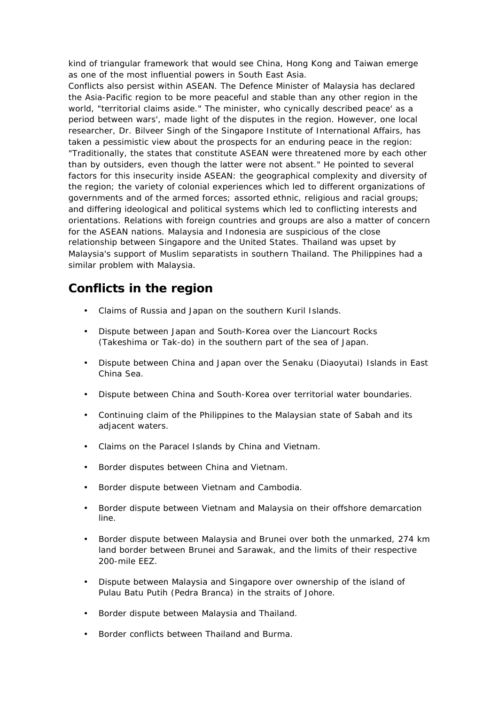kind of triangular framework that would see China, Hong Kong and Taiwan emerge as one of the most influential powers in South East Asia.

Conflicts also persist within ASEAN. The Defence Minister of Malaysia has declared the Asia-Pacific region to be more peaceful and stable than any other region in the world, "territorial claims aside." The minister, who cynically described peace' as a period between wars', made light of the disputes in the region. However, one local researcher, Dr. Bilveer Singh of the Singapore Institute of International Affairs, has taken a pessimistic view about the prospects for an enduring peace in the region: "Traditionally, the states that constitute ASEAN were threatened more by each other than by outsiders, even though the latter were not absent." He pointed to several factors for this insecurity inside ASEAN: the geographical complexity and diversity of the region; the variety of colonial experiences which led to different organizations of governments and of the armed forces; assorted ethnic, religious and racial groups; and differing ideological and political systems which led to conflicting interests and orientations. Relations with foreign countries and groups are also a matter of concern for the ASEAN nations. Malaysia and Indonesia are suspicious of the close relationship between Singapore and the United States. Thailand was upset by Malaysia's support of Muslim separatists in southern Thailand. The Philippines had a similar problem with Malaysia.

#### **Conflicts in the region**

- Claims of Russia and Japan on the southern Kuril Islands.
- Dispute between Japan and South-Korea over the Liancourt Rocks (Takeshima or Tak-do) in the southern part of the sea of Japan.
- Dispute between China and Japan over the Senaku (Diaoyutai) Islands in East China Sea.
- Dispute between China and South-Korea over territorial water boundaries.
- Continuing claim of the Philippines to the Malaysian state of Sabah and its adjacent waters.
- Claims on the Paracel Islands by China and Vietnam.
- Border disputes between China and Vietnam.
- Border dispute between Vietnam and Cambodia.
- Border dispute between Vietnam and Malaysia on their offshore demarcation line.
- Border dispute between Malaysia and Brunei over both the unmarked, 274 km land border between Brunei and Sarawak, and the limits of their respective 200-mile EEZ.
- Dispute between Malaysia and Singapore over ownership of the island of Pulau Batu Putih (Pedra Branca) in the straits of Johore.
- Border dispute between Malaysia and Thailand.
- Border conflicts between Thailand and Burma.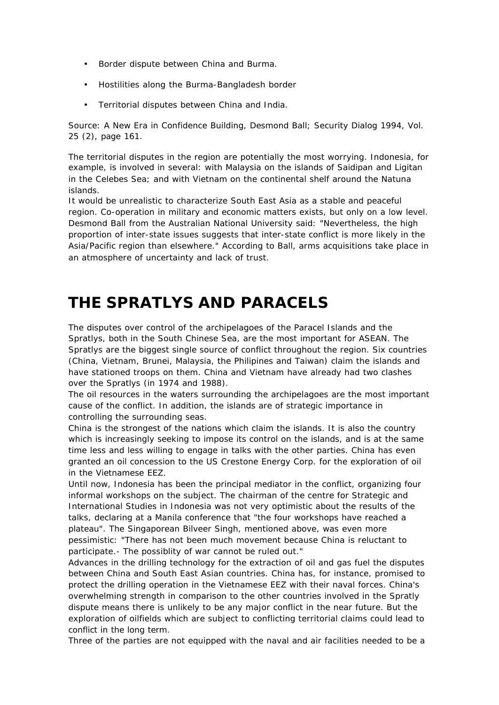- Border dispute between China and Burma.
- Hostilities along the Burma-Bangladesh border
- Territorial disputes between China and India.

Source: A New Era in Confidence Building, Desmond Ball; Security Dialog 1994, Vol. 25 (2), page 161.

The territorial disputes in the region are potentially the most worrying. Indonesia, for example, is involved in several: with Malaysia on the islands of Saidipan and Ligitan in the Celebes Sea; and with Vietnam on the continental shelf around the Natuna islands.

It would be unrealistic to characterize South East Asia as a stable and peaceful region. Co-operation in military and economic matters exists, but only on a low level. Desmond Ball from the Australian National University said: "Nevertheless, the high proportion of inter-state issues suggests that inter-state conflict is more likely in the Asia/Pacific region than elsewhere." According to Ball, arms acquisitions take place in an atmosphere of uncertainty and lack of trust.

#### **THE SPRATLYS AND PARACELS**

The disputes over control of the archipelagoes of the Paracel Islands and the Spratlys, both in the South Chinese Sea, are the most important for ASEAN. The Spratlys are the biggest single source of conflict throughout the region. Six countries (China, Vietnam, Brunei, Malaysia, the Philipines and Taiwan) claim the islands and have stationed troops on them. China and Vietnam have already had two clashes over the Spratlys (in 1974 and 1988).

The oil resources in the waters surrounding the archipelagoes are the most important cause of the conflict. In addition, the islands are of strategic importance in controlling the surrounding seas.

China is the strongest of the nations which claim the islands. It is also the country which is increasingly seeking to impose its control on the islands, and is at the same time less and less willing to engage in talks with the other parties. China has even granted an oil concession to the US Crestone Energy Corp. for the exploration of oil in the Vietnamese EEZ.

Until now, Indonesia has been the principal mediator in the conflict, organizing four informal workshops on the subject. The chairman of the centre for Strategic and International Studies in Indonesia was not very optimistic about the results of the talks, declaring at a Manila conference that "the four workshops have reached a plateau". The Singaporean Bilveer Singh, mentioned above, was even more pessimistic: "There has not been much movement because China is reluctant to participate.- The possiblity of war cannot be ruled out."

Advances in the drilling technology for the extraction of oil and gas fuel the disputes between China and South East Asian countries. China has, for instance, promised to protect the drilling operation in the Vietnamese EEZ with their naval forces. China's overwhelming strength in comparison to the other countries involved in the Spratly dispute means there is unlikely to be any major conflict in the near future. But the exploration of oilfields which are subject to conflicting territorial claims could lead to conflict in the long term.

Three of the parties are not equipped with the naval and air facilities needed to be a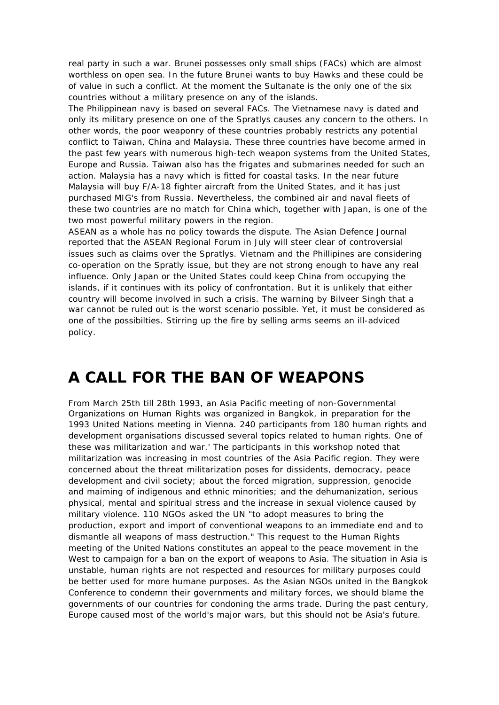real party in such a war. Brunei possesses only small ships (FACs) which are almost worthless on open sea. In the future Brunei wants to buy Hawks and these could be of value in such a conflict. At the moment the Sultanate is the only one of the six countries without a military presence on any of the islands.

The Philippinean navy is based on several FACs. The Vietnamese navy is dated and only its military presence on one of the Spratlys causes any concern to the others. In other words, the poor weaponry of these countries probably restricts any potential conflict to Taiwan, China and Malaysia. These three countries have become armed in the past few years with numerous high-tech weapon systems from the United States, Europe and Russia. Taiwan also has the frigates and submarines needed for such an action. Malaysia has a navy which is fitted for coastal tasks. In the near future Malaysia will buy F/A-18 fighter aircraft from the United States, and it has just purchased MIG's from Russia. Nevertheless, the combined air and naval fleets of these two countries are no match for China which, together with Japan, is one of the two most powerful military powers in the region.

ASEAN as a whole has no policy towards the dispute. The Asian Defence Journal reported that the ASEAN Regional Forum in July will steer clear of controversial issues such as claims over the Spratlys. Vietnam and the Phillipines are considering co-operation on the Spratly issue, but they are not strong enough to have any real influence. Only Japan or the United States could keep China from occupying the islands, if it continues with its policy of confrontation. But it is unlikely that either country will become involved in such a crisis. The warning by Bilveer Singh that a war cannot be ruled out is the worst scenario possible. Yet, it must be considered as one of the possibilties. Stirring up the fire by selling arms seems an ill-adviced policy.

## **A CALL FOR THE BAN OF WEAPONS**

From March 25th till 28th 1993, an Asia Pacific meeting of non-Governmental Organizations on Human Rights was organized in Bangkok, in preparation for the 1993 United Nations meeting in Vienna. 240 participants from 180 human rights and development organisations discussed several topics related to human rights. One of these was militarization and war.' The participants in this workshop noted that militarization was increasing in most countries of the Asia Pacific region. They were concerned about the threat militarization poses for dissidents, democracy, peace development and civil society; about the forced migration, suppression, genocide and maiming of indigenous and ethnic minorities; and the dehumanization, serious physical, mental and spiritual stress and the increase in sexual violence caused by military violence. 110 NGOs asked the UN "to adopt measures to bring the production, export and import of conventional weapons to an immediate end and to dismantle all weapons of mass destruction." This request to the Human Rights meeting of the United Nations constitutes an appeal to the peace movement in the West to campaign for a ban on the export of weapons to Asia. The situation in Asia is unstable, human rights are not respected and resources for military purposes could be better used for more humane purposes. As the Asian NGOs united in the Bangkok Conference to condemn their governments and military forces, we should blame the governments of our countries for condoning the arms trade. During the past century, Europe caused most of the world's major wars, but this should not be Asia's future.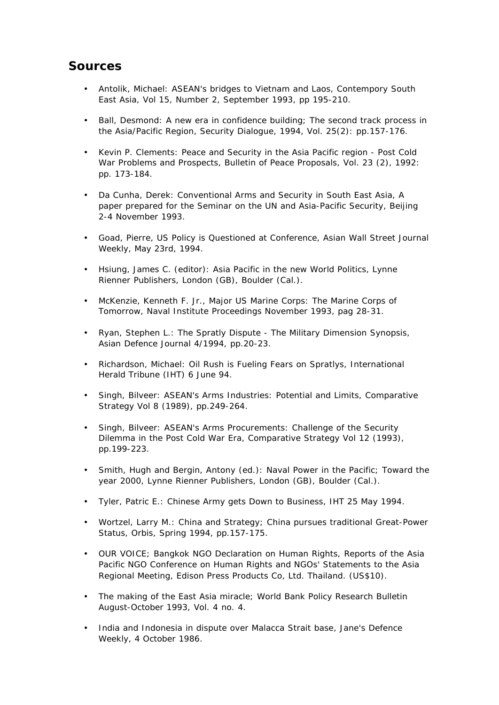#### **Sources**

- Antolik, Michael: ASEAN's bridges to Vietnam and Laos, Contempory South East Asia, Vol 15, Number 2, September 1993, pp 195-210.
- Ball, Desmond: A new era in confidence building; The second track process in the Asia/Pacific Region, Security Dialogue, 1994, Vol. 25(2): pp.157-176.
- Kevin P. Clements: Peace and Security in the Asia Pacific region Post Cold War Problems and Prospects, Bulletin of Peace Proposals, Vol. 23 (2), 1992: pp. 173-184.
- Da Cunha, Derek: Conventional Arms and Security in South East Asia, A paper prepared for the Seminar on the UN and Asia-Pacific Security, Beijing 2-4 November 1993.
- Goad, Pierre, US Policy is Questioned at Conference, Asian Wall Street Journal Weekly, May 23rd, 1994.
- Hsiung, James C. (editor): Asia Pacific in the new World Politics, Lynne Rienner Publishers, London (GB), Boulder (Cal.).
- McKenzie, Kenneth F. Jr., Major US Marine Corps: The Marine Corps of Tomorrow, Naval Institute Proceedings November 1993, pag 28-31.
- Ryan, Stephen L.: The Spratly Dispute The Military Dimension Synopsis, Asian Defence Journal 4/1994, pp.20-23.
- Richardson, Michael: Oil Rush is Fueling Fears on Spratlys, International Herald Tribune (IHT) 6 June 94.
- Singh, Bilveer: ASEAN's Arms Industries: Potential and Limits, Comparative Strategy Vol 8 (1989), pp.249-264.
- Singh, Bilveer: ASEAN's Arms Procurements: Challenge of the Security Dilemma in the Post Cold War Era, Comparative Strategy Vol 12 (1993), pp.199-223.
- Smith, Hugh and Bergin, Antony (ed.): Naval Power in the Pacific; Toward the year 2000, Lynne Rienner Publishers, London (GB), Boulder (Cal.).
- Tyler, Patric E.: Chinese Army gets Down to Business, IHT 25 May 1994.
- Wortzel, Larry M.: China and Strategy; China pursues traditional Great-Power Status, Orbis, Spring 1994, pp.157-175.
- OUR VOICE; Bangkok NGO Declaration on Human Rights, Reports of the Asia Pacific NGO Conference on Human Rights and NGOs' Statements to the Asia Regional Meeting, Edison Press Products Co, Ltd. Thailand. (US\$10).
- The making of the East Asia miracle; World Bank Policy Research Bulletin August-October 1993, Vol. 4 no. 4.
- India and Indonesia in dispute over Malacca Strait base, Jane's Defence Weekly, 4 October 1986.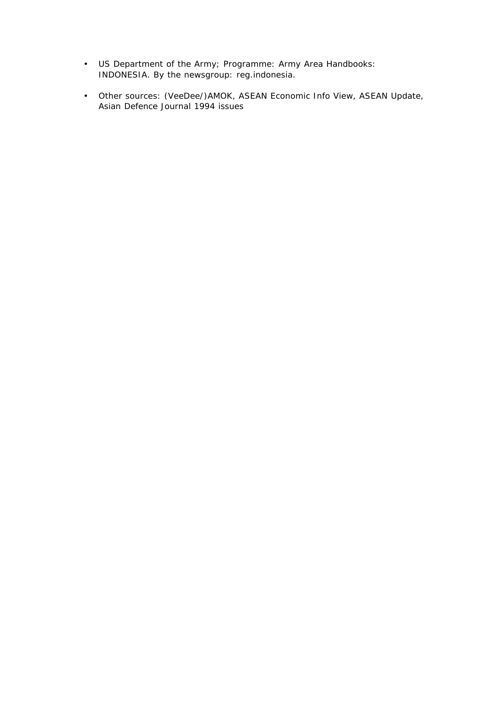- US Department of the Army; Programme: Army Area Handbooks: INDONESIA. By the newsgroup: reg.indonesia.
- Other sources: (VeeDee/)AMOK, ASEAN Economic Info View, ASEAN Update, Asian Defence Journal 1994 issues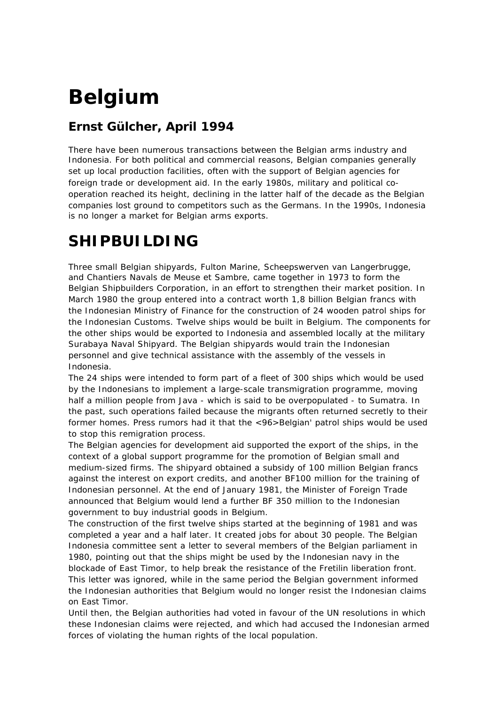# **Belgium**

#### **Ernst Gülcher, April 1994**

*There have been numerous transactions between the Belgian arms industry and Indonesia. For both political and commercial reasons, Belgian companies generally set up local production facilities, often with the support of Belgian agencies for foreign trade or development aid. In the early 1980s, military and political cooperation reached its height, declining in the latter half of the decade as the Belgian companies lost ground to competitors such as the Germans. In the 1990s, Indonesia is no longer a market for Belgian arms exports.*

## **SHIPBUILDING**

Three small Belgian shipyards, Fulton Marine, Scheepswerven van Langerbrugge, and Chantiers Navals de Meuse et Sambre, came together in 1973 to form the Belgian Shipbuilders Corporation, in an effort to strengthen their market position. In March 1980 the group entered into a contract worth 1,8 billion Belgian francs with the Indonesian Ministry of Finance for the construction of 24 wooden patrol ships for the Indonesian Customs. Twelve ships would be built in Belgium. The components for the other ships would be exported to Indonesia and assembled locally at the military Surabaya Naval Shipyard. The Belgian shipyards would train the Indonesian personnel and give technical assistance with the assembly of the vessels in Indonesia.

The 24 ships were intended to form part of a fleet of 300 ships which would be used by the Indonesians to implement a large-scale transmigration programme, moving half a million people from Java - which is said to be overpopulated - to Sumatra. In the past, such operations failed because the migrants often returned secretly to their former homes. Press rumors had it that the <96>Belgian' patrol ships would be used to stop this remigration process.

The Belgian agencies for development aid supported the export of the ships, in the context of a global support programme for the promotion of Belgian small and medium-sized firms. The shipyard obtained a subsidy of 100 million Belgian francs against the interest on export credits, and another BF100 million for the training of Indonesian personnel. At the end of January 1981, the Minister of Foreign Trade announced that Belgium would lend a further BF 350 million to the Indonesian government to buy industrial goods in Belgium.

The construction of the first twelve ships started at the beginning of 1981 and was completed a year and a half later. It created jobs for about 30 people. The Belgian Indonesia committee sent a letter to several members of the Belgian parliament in 1980, pointing out that the ships might be used by the Indonesian navy in the blockade of East Timor, to help break the resistance of the Fretilin liberation front. This letter was ignored, while in the same period the Belgian government informed the Indonesian authorities that Belgium would no longer resist the Indonesian claims on East Timor.

Until then, the Belgian authorities had voted in favour of the UN resolutions in which these Indonesian claims were rejected, and which had accused the Indonesian armed forces of violating the human rights of the local population.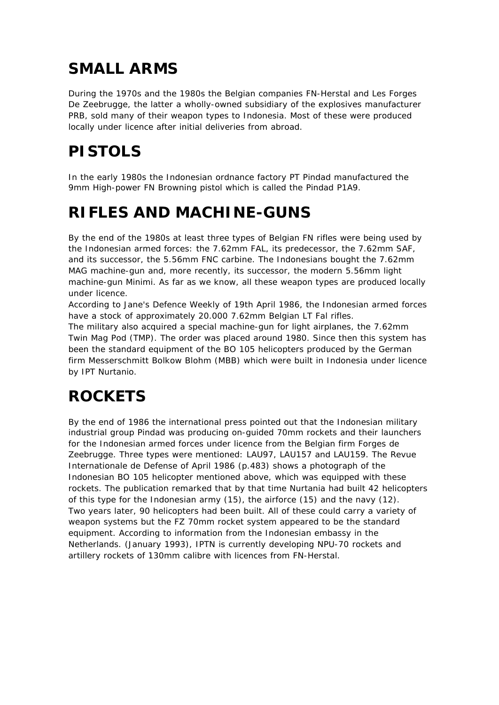## **SMALL ARMS**

During the 1970s and the 1980s the Belgian companies FN-Herstal and Les Forges De Zeebrugge, the latter a wholly-owned subsidiary of the explosives manufacturer PRB, sold many of their weapon types to Indonesia. Most of these were produced locally under licence after initial deliveries from abroad.

# **PISTOLS**

In the early 1980s the Indonesian ordnance factory PT Pindad manufactured the 9mm High-power FN Browning pistol which is called the Pindad P1A9.

## **RIFLES AND MACHINE-GUNS**

By the end of the 1980s at least three types of Belgian FN rifles were being used by the Indonesian armed forces: the 7.62mm FAL, its predecessor, the 7.62mm SAF, and its successor, the 5.56mm FNC carbine. The Indonesians bought the 7.62mm MAG machine-gun and, more recently, its successor, the modern 5.56mm light machine-gun Minimi. As far as we know, all these weapon types are produced locally under licence.

According to Jane's Defence Weekly of 19th April 1986, the Indonesian armed forces have a stock of approximately 20.000 7.62mm Belgian LT Fal rifles.

The military also acquired a special machine-gun for light airplanes, the 7.62mm Twin Mag Pod (TMP). The order was placed around 1980. Since then this system has been the standard equipment of the BO 105 helicopters produced by the German firm Messerschmitt Bolkow Blohm (MBB) which were built in Indonesia under licence by IPT Nurtanio.

# **ROCKETS**

By the end of 1986 the international press pointed out that the Indonesian military industrial group Pindad was producing on-guided 70mm rockets and their launchers for the Indonesian armed forces under licence from the Belgian firm Forges de Zeebrugge. Three types were mentioned: LAU97, LAU157 and LAU159. The Revue Internationale de Defense of April 1986 (p.483) shows a photograph of the Indonesian BO 105 helicopter mentioned above, which was equipped with these rockets. The publication remarked that by that time Nurtania had built 42 helicopters of this type for the Indonesian army (15), the airforce (15) and the navy (12). Two years later, 90 helicopters had been built. All of these could carry a variety of weapon systems but the FZ 70mm rocket system appeared to be the standard equipment. According to information from the Indonesian embassy in the Netherlands. (January 1993), IPTN is currently developing NPU-70 rockets and artillery rockets of 130mm calibre with licences from FN-Herstal.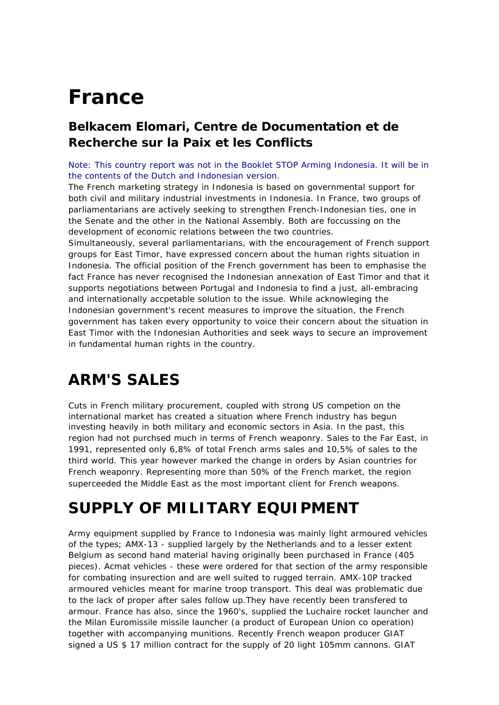# **France**

#### **Belkacem Elomari, Centre de Documentation et de Recherche sur la Paix et les Conflicts**

Note: This country report was not in the Booklet STOP Arming Indonesia. It will be in the contents of the Dutch and Indonesian version.

*The French marketing strategy in Indonesia is based on governmental support for both civil and military industrial investments in Indonesia. In France, two groups of parliamentarians are actively seeking to strengthen French-Indonesian ties, one in the Senate and the other in the National Assembly. Both are foccussing on the development of economic relations between the two countries.*

*Simultaneously, several parliamentarians, with the encouragement of French support groups for East Timor, have expressed concern about the human rights situation in Indonesia. The official position of the French government has been to emphasise the fact France has never recognised the Indonesian annexation of East Timor and that it supports negotiations between Portugal and Indonesia to find a just, all-embracing and internationally accpetable solution to the issue. While acknowleging the Indonesian government's recent measures to improve the situation, the French government has taken every opportunity to voice their concern about the situation in East Timor with the Indonesian Authorities and seek ways to secure an improvement in fundamental human rights in the country.*

# **ARM'S SALES**

Cuts in French military procurement, coupled with strong US competion on the international market has created a situation where French industry has begun investing heavily in both military and economic sectors in Asia. In the past, this region had not purchsed much in terms of French weaponry. Sales to the Far East, in 1991, represented only 6,8% of total French arms sales and 10,5% of sales to the third world. This year however marked the change in orders by Asian countries for French weaponry. Representing more than 50% of the French market, the region superceeded the Middle East as the most important client for French weapons.

## **SUPPLY OF MILITARY EQUIPMENT**

Army equipment supplied by France to Indonesia was mainly light armoured vehicles of the types; AMX-13 - supplied largely by the Netherlands and to a lesser extent Belgium as second hand material having originally been purchased in France (405 pieces). Acmat vehicles - these were ordered for that section of the army responsible for combating insurection and are well suited to rugged terrain. AMX-10P tracked armoured vehicles meant for marine troop transport. This deal was problematic due to the lack of proper after sales follow up.They have recently been transfered to armour. France has also, since the 1960's, supplied the Luchaire rocket launcher and the Milan Euromissile missile launcher (a product of European Union co operation) together with accompanying munitions. Recently French weapon producer GIAT signed a US \$ 17 million contract for the supply of 20 light 105mm cannons. GIAT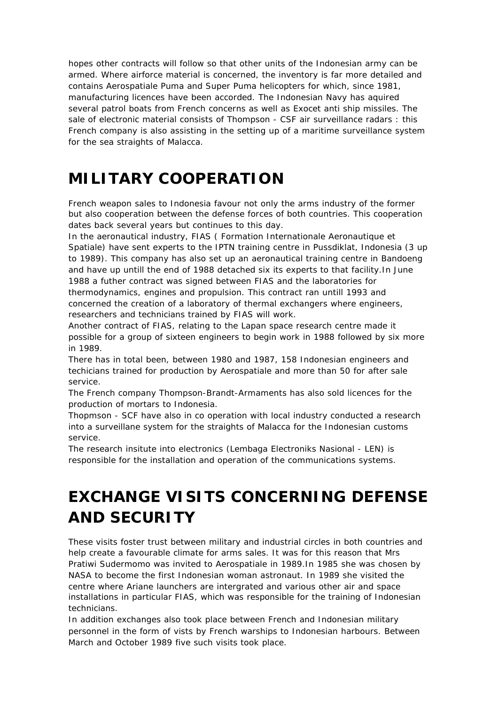hopes other contracts will follow so that other units of the Indonesian army can be armed. Where airforce material is concerned, the inventory is far more detailed and contains Aerospatiale Puma and Super Puma helicopters for which, since 1981, manufacturing licences have been accorded. The Indonesian Navy has aquired several patrol boats from French concerns as well as Exocet anti ship missiles. The sale of electronic material consists of Thompson - CSF air surveillance radars : this French company is also assisting in the setting up of a maritime surveillance system for the sea straights of Malacca.

## **MILITARY COOPERATION**

French weapon sales to Indonesia favour not only the arms industry of the former but also cooperation between the defense forces of both countries. This cooperation dates back several years but continues to this day.

In the aeronautical industry, FIAS ( Formation Internationale Aeronautique et Spatiale) have sent experts to the IPTN training centre in Pussdiklat, Indonesia (3 up to 1989). This company has also set up an aeronautical training centre in Bandoeng and have up untill the end of 1988 detached six its experts to that facility.In June 1988 a futher contract was signed between FIAS and the laboratories for thermodynamics, engines and propulsion. This contract ran untill 1993 and concerned the creation of a laboratory of thermal exchangers where engineers, researchers and technicians trained by FIAS will work.

Another contract of FIAS, relating to the Lapan space research centre made it possible for a group of sixteen engineers to begin work in 1988 followed by six more in 1989.

There has in total been, between 1980 and 1987, 158 Indonesian engineers and techicians trained for production by Aerospatiale and more than 50 for after sale service.

The French company Thompson-Brandt-Armaments has also sold licences for the production of mortars to Indonesia.

Thopmson - SCF have also in co operation with local industry conducted a research into a surveillane system for the straights of Malacca for the Indonesian customs service.

The research insitute into electronics (Lembaga Electroniks Nasional - LEN) is responsible for the installation and operation of the communications systems.

# **EXCHANGE VISITS CONCERNING DEFENSE AND SECURITY**

These visits foster trust between military and industrial circles in both countries and help create a favourable climate for arms sales. It was for this reason that Mrs Pratiwi Sudermomo was invited to Aerospatiale in 1989.In 1985 she was chosen by NASA to become the first Indonesian woman astronaut. In 1989 she visited the centre where Ariane launchers are intergrated and various other air and space installations in particular FIAS, which was responsible for the training of Indonesian technicians.

In addition exchanges also took place between French and Indonesian military personnel in the form of vists by French warships to Indonesian harbours. Between March and October 1989 five such visits took place.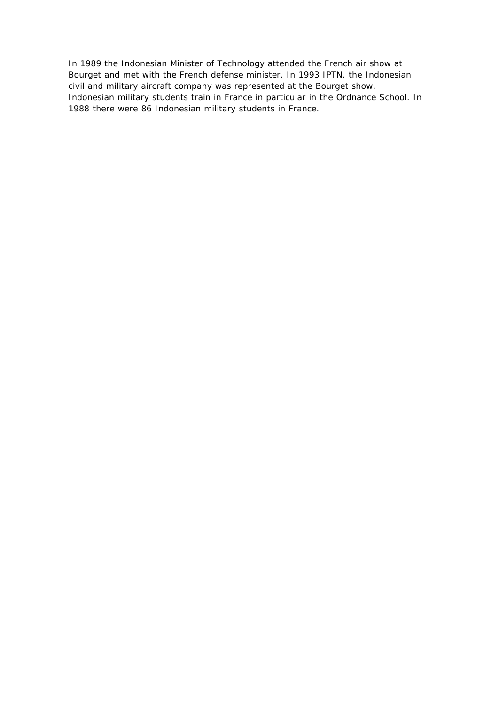In 1989 the Indonesian Minister of Technology attended the French air show at Bourget and met with the French defense minister. In 1993 IPTN, the Indonesian civil and military aircraft company was represented at the Bourget show. Indonesian military students train in France in particular in the Ordnance School. In 1988 there were 86 Indonesian military students in France.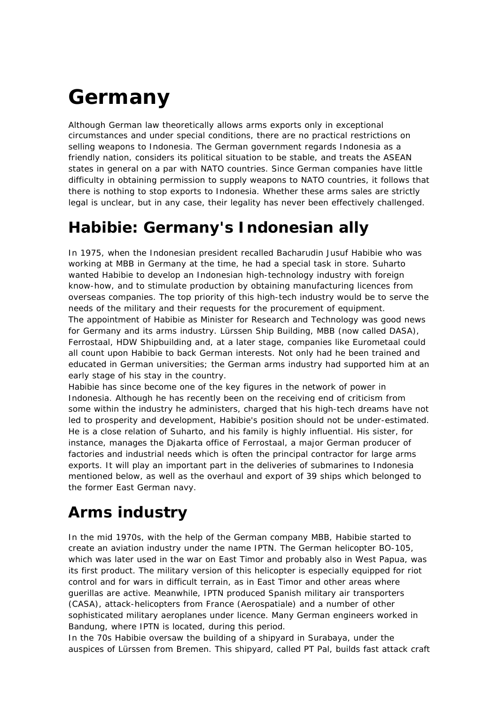# **Germany**

*Although German law theoretically allows arms exports only in exceptional circumstances and under special conditions, there are no practical restrictions on selling weapons to Indonesia. The German government regards Indonesia as a friendly nation, considers its political situation to be stable, and treats the ASEAN states in general on a par with NATO countries. Since German companies have little difficulty in obtaining permission to supply weapons to NATO countries, it follows that there is nothing to stop exports to Indonesia. Whether these arms sales are strictly legal is unclear, but in any case, their legality has never been effectively challenged.*

## **Habibie: Germany's Indonesian ally**

In 1975, when the Indonesian president recalled Bacharudin Jusuf Habibie who was working at MBB in Germany at the time, he had a special task in store. Suharto wanted Habibie to develop an Indonesian high-technology industry with foreign know-how, and to stimulate production by obtaining manufacturing licences from overseas companies. The top priority of this high-tech industry would be to serve the needs of the military and their requests for the procurement of equipment. The appointment of Habibie as Minister for Research and Technology was good news for Germany and its arms industry. Lürssen Ship Building, MBB (now called DASA), Ferrostaal, HDW Shipbuilding and, at a later stage, companies like Eurometaal could all count upon Habibie to back German interests. Not only had he been trained and educated in German universities; the German arms industry had supported him at an early stage of his stay in the country.

Habibie has since become one of the key figures in the network of power in Indonesia. Although he has recently been on the receiving end of criticism from some within the industry he administers, charged that his high-tech dreams have not led to prosperity and development, Habibie's position should not be under-estimated. He is a close relation of Suharto, and his family is highly influential. His sister, for instance, manages the Djakarta office of Ferrostaal, a major German producer of factories and industrial needs which is often the principal contractor for large arms exports. It will play an important part in the deliveries of submarines to Indonesia mentioned below, as well as the overhaul and export of 39 ships which belonged to the former East German navy.

## **Arms industry**

In the mid 1970s, with the help of the German company MBB, Habibie started to create an aviation industry under the name IPTN. The German helicopter BO-105, which was later used in the war on East Timor and probably also in West Papua, was its first product. The military version of this helicopter is especially equipped for riot control and for wars in difficult terrain, as in East Timor and other areas where guerillas are active. Meanwhile, IPTN produced Spanish military air transporters (CASA), attack-helicopters from France (Aerospatiale) and a number of other sophisticated military aeroplanes under licence. Many German engineers worked in Bandung, where IPTN is located, during this period.

In the 70s Habibie oversaw the building of a shipyard in Surabaya, under the auspices of Lürssen from Bremen. This shipyard, called PT Pal, builds fast attack craft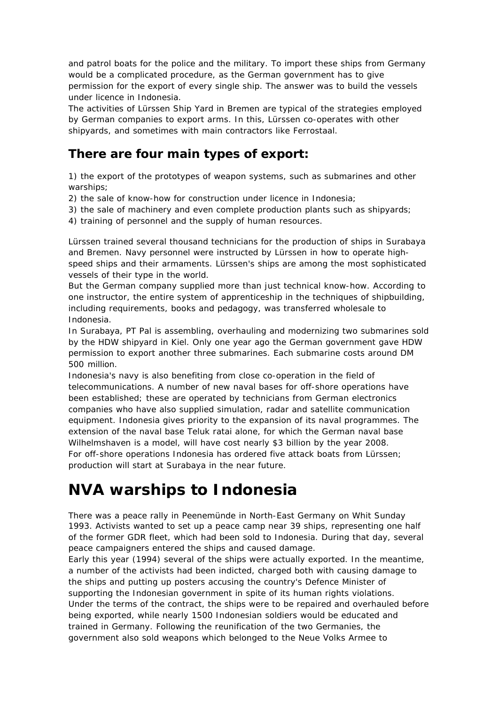and patrol boats for the police and the military. To import these ships from Germany would be a complicated procedure, as the German government has to give permission for the export of every single ship. The answer was to build the vessels under licence in Indonesia.

The activities of Lürssen Ship Yard in Bremen are typical of the strategies employed by German companies to export arms. In this, Lürssen co-operates with other shipyards, and sometimes with main contractors like Ferrostaal.

#### **There are four main types of export:**

1) the export of the prototypes of weapon systems, such as submarines and other warships;

- 2) the sale of know-how for construction under licence in Indonesia;
- 3) the sale of machinery and even complete production plants such as shipyards;

4) training of personnel and the supply of human resources.

Lürssen trained several thousand technicians for the production of ships in Surabaya and Bremen. Navy personnel were instructed by Lürssen in how to operate highspeed ships and their armaments. Lürssen's ships are among the most sophisticated vessels of their type in the world.

But the German company supplied more than just technical know-how. According to one instructor, the entire system of apprenticeship in the techniques of shipbuilding, including requirements, books and pedagogy, was transferred wholesale to Indonesia.

In Surabaya, PT Pal is assembling, overhauling and modernizing two submarines sold by the HDW shipyard in Kiel. Only one year ago the German government gave HDW permission to export another three submarines. Each submarine costs around DM 500 million.

Indonesia's navy is also benefiting from close co-operation in the field of telecommunications. A number of new naval bases for off-shore operations have been established; these are operated by technicians from German electronics companies who have also supplied simulation, radar and satellite communication equipment. Indonesia gives priority to the expansion of its naval programmes. The extension of the naval base Teluk ratai alone, for which the German naval base Wilhelmshaven is a model, will have cost nearly \$3 billion by the year 2008. For off-shore operations Indonesia has ordered five attack boats from Lürssen; production will start at Surabaya in the near future.

## **NVA warships to Indonesia**

There was a peace rally in Peenemünde in North-East Germany on Whit Sunday 1993. Activists wanted to set up a peace camp near 39 ships, representing one half of the former GDR fleet, which had been sold to Indonesia. During that day, several peace campaigners entered the ships and caused damage.

Early this year (1994) several of the ships were actually exported. In the meantime, a number of the activists had been indicted, charged both with causing damage to the ships and putting up posters accusing the country's Defence Minister of supporting the Indonesian government in spite of its human rights violations. Under the terms of the contract, the ships were to be repaired and overhauled before being exported, while nearly 1500 Indonesian soldiers would be educated and trained in Germany. Following the reunification of the two Germanies, the government also sold weapons which belonged to the Neue Volks Armee to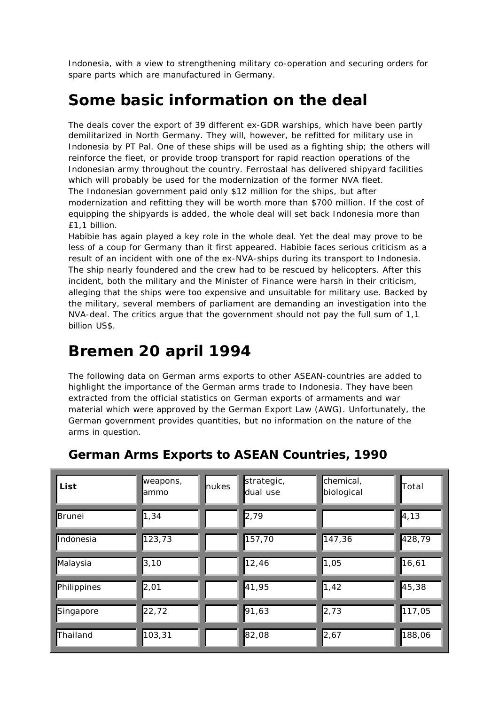Indonesia, with a view to strengthening military co-operation and securing orders for spare parts which are manufactured in Germany.

## **Some basic information on the deal**

The deals cover the export of 39 different ex-GDR warships, which have been partly demilitarized in North Germany. They will, however, be refitted for military use in Indonesia by PT Pal. One of these ships will be used as a fighting ship; the others will reinforce the fleet, or provide troop transport for rapid reaction operations of the Indonesian army throughout the country. Ferrostaal has delivered shipyard facilities which will probably be used for the modernization of the former NVA fleet. The Indonesian government paid only \$12 million for the ships, but after modernization and refitting they will be worth more than \$700 million. If the cost of equipping the shipyards is added, the whole deal will set back Indonesia more than £1,1 billion.

Habibie has again played a key role in the whole deal. Yet the deal may prove to be less of a coup for Germany than it first appeared. Habibie faces serious criticism as a result of an incident with one of the ex-NVA-ships during its transport to Indonesia. The ship nearly foundered and the crew had to be rescued by helicopters. After this incident, both the military and the Minister of Finance were harsh in their criticism, alleging that the ships were too expensive and unsuitable for military use. Backed by the military, several members of parliament are demanding an investigation into the NVA-deal. The critics argue that the government should not pay the full sum of 1,1 billion US\$.

## **Bremen 20 april 1994**

The following data on German arms exports to other ASEAN-countries are added to highlight the importance of the German arms trade to Indonesia. They have been extracted from the official statistics on German exports of armaments and war material which were approved by the German Export Law (AWG). Unfortunately, the German government provides quantities, but no information on the nature of the arms in question.

| List        | weapons,<br>lammo | nukes | strategic,<br>dual use | chemical,<br>biological | Total               |
|-------------|-------------------|-------|------------------------|-------------------------|---------------------|
| Brunei      | 1,34              |       | 2,79                   |                         | $\vert 4, 13 \vert$ |
| Indonesia   | 123,73            |       | 157,70                 | 147,36                  | 428,79              |
| Malaysia    | 3,10              |       | 12,46                  | 1,05                    | 16,61               |
| Philippines | 2,01              |       | 41,95                  | 1,42                    | 45,38               |
| Singapore   | 22,72             |       | 91,63                  | 2,73                    | 117,05              |
| Thailand    | 103,31            |       | 82,08                  | 2,67                    | 188,06              |

#### **German Arms Exports to ASEAN Countries, 1990**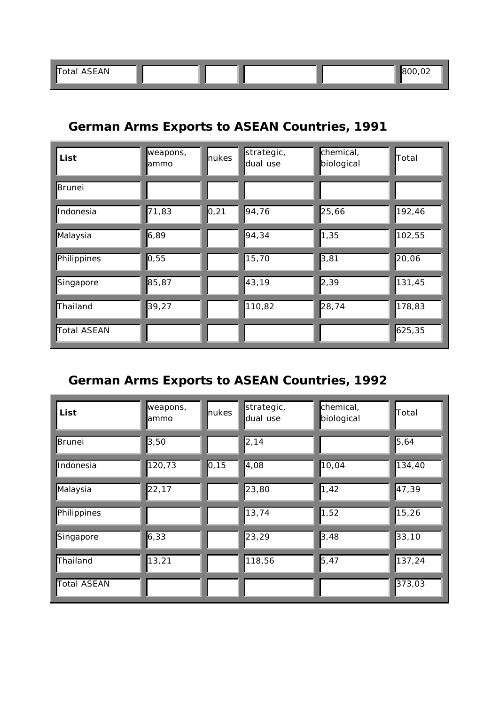#### **German Arms Exports to ASEAN Countries, 1991**

| List          | weapons,<br><b>l</b> ammo | nukes               | strategic,<br>dual use | chemical,<br>biological | Total  |
|---------------|---------------------------|---------------------|------------------------|-------------------------|--------|
| <b>Brunei</b> |                           |                     |                        |                         |        |
| Indonesia     | 71,83                     | $\vert 0, 21 \vert$ | 94,76                  | 25,66                   | 192,46 |
| Malaysia      | 6,89                      |                     | 94,34                  | 1,35                    | 102,55 |
| Philippines   | 0,55                      |                     | 15,70                  | 3,81                    | 20,06  |
| Singapore     | 85,87                     |                     | 43,19                  | 2,39                    | 131,45 |
| Thailand      | 39,27                     |                     | 110,82                 | 28,74                   | 178,83 |
| Total ASEAN   |                           |                     |                        |                         | 625,35 |

#### **German Arms Exports to ASEAN Countries, 1992**

| List          | weapons,<br>lammo | nukes | strategic,<br>dual use | chemical,<br>biological | Total  |
|---------------|-------------------|-------|------------------------|-------------------------|--------|
| <b>Brunei</b> | 3,50              |       | 2,14                   |                         | 5,64   |
| Indonesia     | 120,73            | 0, 15 | 4,08                   | 10,04                   | 134,40 |
| Malaysia      | 22,17             |       | 23,80                  | 1,42                    | 47,39  |
| Philippines   |                   |       | 13,74                  | 1,52                    | 15,26  |
| Singapore     | 6,33              |       | 23,29                  | 3,48                    | 33,10  |
| Thailand      | 13,21             |       | 118,56                 | 5,47                    | 137,24 |
| Total ASEAN   |                   |       |                        |                         | 373,03 |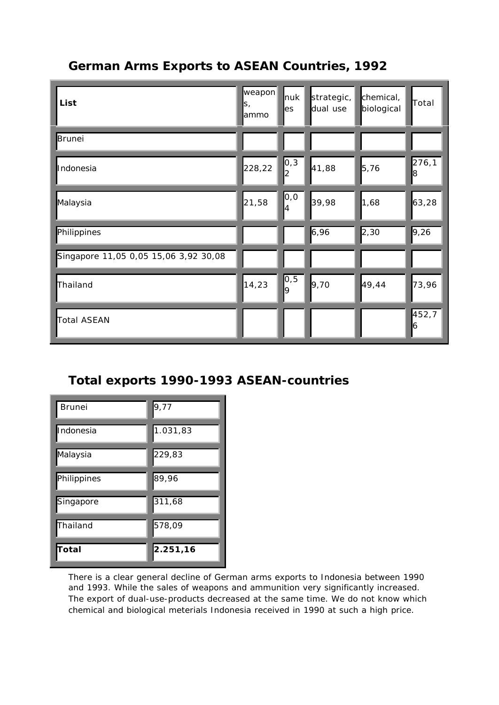#### **German Arms Exports to ASEAN Countries, 1992**

| List                                  | $\vert$ weapon $\vert$<br>S,<br>lammo | nuk<br>es                     | strategic,<br>dual use | chemical,<br>biological | Total       |
|---------------------------------------|---------------------------------------|-------------------------------|------------------------|-------------------------|-------------|
| <b>Brunei</b>                         |                                       |                               |                        |                         |             |
| Indonesia                             | 228,22                                | $\vert$ 0,3<br>$\overline{2}$ | 41,88                  | 5,76                    | 276,1<br>8  |
| Malaysia                              | 21,58                                 | $\mathsf{O},\mathsf{O}$<br>4  | 39,98                  | 1,68                    | 63,28       |
| Philippines                           |                                       |                               | 6,96                   | 2,30                    | 9,26        |
| Singapore 11,05 0,05 15,06 3,92 30,08 |                                       |                               |                        |                         |             |
| Thailand                              | 14,23                                 | $\frac{0,5}{9}$               | 9,70                   | 49,44                   | 73,96       |
| <b>Total ASEAN</b>                    |                                       |                               |                        |                         | 452,7<br>16 |

#### **Total exports 1990-1993 ASEAN-countries**

| <b>Brunei</b> | 9,77     |
|---------------|----------|
| Indonesia     | 1.031,83 |
| Malaysia      | 229,83   |
| Philippines   | 89,96    |
| Singapore     | 311,68   |
| Thailand      | 578,09   |
| Total         | 2.251,16 |

There is a clear general decline of German arms exports to Indonesia between 1990 and 1993. While the sales of weapons and ammunition very significantly increased. The export of dual-use-products decreased at the same time. We do not know which chemical and biological meterials Indonesia received in 1990 at such a high price.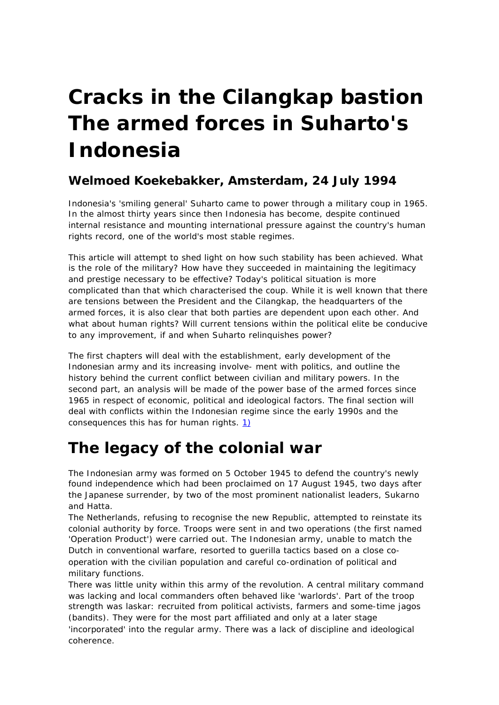# **Cracks in the Cilangkap bastion The armed forces in Suharto's Indonesia**

#### **Welmoed Koekebakker, Amsterdam, 24 July 1994**

*Indonesia's 'smiling general' Suharto came to power through a military coup in 1965. In the almost thirty years since then Indonesia has become, despite continued internal resistance and mounting international pressure against the country's human rights record, one of the world's most stable regimes.*

This article will attempt to shed light on how such stability has been achieved. What is the role of the military? How have they succeeded in maintaining the legitimacy and prestige necessary to be effective? Today's political situation is more complicated than that which characterised the coup. While it is well known that there are tensions between the President and the Cilangkap, the headquarters of the armed forces, it is also clear that both parties are dependent upon each other. And what about human rights? Will current tensions within the political elite be conducive to any improvement, if and when Suharto relinquishes power?

The first chapters will deal with the establishment, early development of the Indonesian army and its increasing involve- ment with politics, and outline the history behind the current conflict between civilian and military powers. In the second part, an analysis will be made of the power base of the armed forces since 1965 in respect of economic, political and ideological factors. The final section will deal with conflicts within the Indonesian regime since the early 1990s and the consequences this has for human rights. 1)

## **The legacy of the colonial war**

The Indonesian army was formed on 5 October 1945 to defend the country's newly found independence which had been proclaimed on 17 August 1945, two days after the Japanese surrender, by two of the most prominent nationalist leaders, Sukarno and Hatta.

The Netherlands, refusing to recognise the new Republic, attempted to reinstate its colonial authority by force. Troops were sent in and two operations (the first named 'Operation Product') were carried out. The Indonesian army, unable to match the Dutch in conventional warfare, resorted to guerilla tactics based on a close cooperation with the civilian population and careful co-ordination of political and military functions.

There was little unity within this army of the revolution. A central military command was lacking and local commanders often behaved like 'warlords'. Part of the troop strength was laskar: recruited from political activists, farmers and some-time jagos (bandits). They were for the most part affiliated and only at a later stage 'incorporated' into the regular army. There was a lack of discipline and ideological coherence.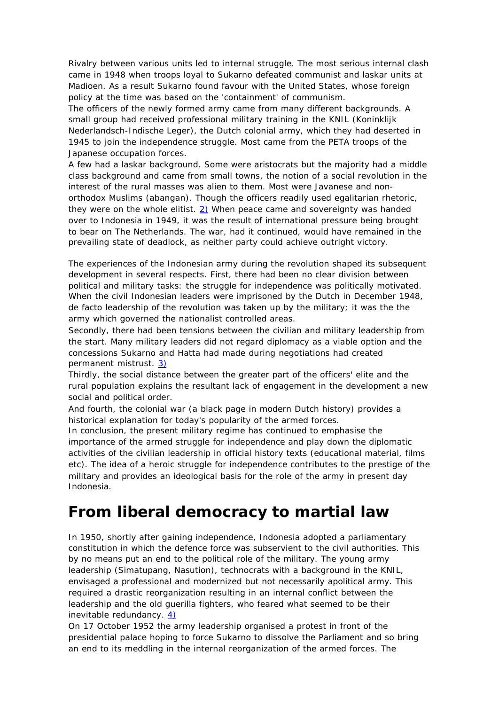Rivalry between various units led to internal struggle. The most serious internal clash came in 1948 when troops loyal to Sukarno defeated communist and laskar units at Madioen. As a result Sukarno found favour with the United States, whose foreign policy at the time was based on the 'containment' of communism.

The officers of the newly formed army came from many different backgrounds. A small group had received professional military training in the KNIL (Koninklijk Nederlandsch-Indische Leger), the Dutch colonial army, which they had deserted in 1945 to join the independence struggle. Most came from the PETA troops of the Japanese occupation forces.

A few had a laskar background. Some were aristocrats but the majority had a middle class background and came from small towns, the notion of a social revolution in the interest of the rural masses was alien to them. Most were Javanese and nonorthodox Muslims (abangan). Though the officers readily used egalitarian rhetoric, they were on the whole elitist. 2) When peace came and sovereignty was handed over to Indonesia in 1949, it was the result of international pressure being brought to bear on The Netherlands. The war, had it continued, would have remained in the prevailing state of deadlock, as neither party could achieve outright victory.

The experiences of the Indonesian army during the revolution shaped its subsequent development in several respects. First, there had been no clear division between political and military tasks: the struggle for independence was politically motivated. When the civil Indonesian leaders were imprisoned by the Dutch in December 1948, de facto leadership of the revolution was taken up by the military; it was the the army which governed the nationalist controlled areas.

Secondly, there had been tensions between the civilian and military leadership from the start. Many military leaders did not regard diplomacy as a viable option and the concessions Sukarno and Hatta had made during negotiations had created permanent mistrust. 3)

Thirdly, the social distance between the greater part of the officers' elite and the rural population explains the resultant lack of engagement in the development a new social and political order.

And fourth, the colonial war (a black page in modern Dutch history) provides a historical explanation for today's popularity of the armed forces.

In conclusion, the present military regime has continued to emphasise the importance of the armed struggle for independence and play down the diplomatic activities of the civilian leadership in official history texts (educational material, films etc). The idea of a heroic struggle for independence contributes to the prestige of the military and provides an ideological basis for the role of the army in present day Indonesia.

### **From liberal democracy to martial law**

In 1950, shortly after gaining independence, Indonesia adopted a parliamentary constitution in which the defence force was subservient to the civil authorities. This by no means put an end to the political role of the military. The young army leadership (Simatupang, Nasution), technocrats with a background in the KNIL, envisaged a professional and modernized but not necessarily apolitical army. This required a drastic reorganization resulting in an internal conflict between the leadership and the old guerilla fighters, who feared what seemed to be their inevitable redundancy. 4)

On 17 October 1952 the army leadership organised a protest in front of the presidential palace hoping to force Sukarno to dissolve the Parliament and so bring an end to its meddling in the internal reorganization of the armed forces. The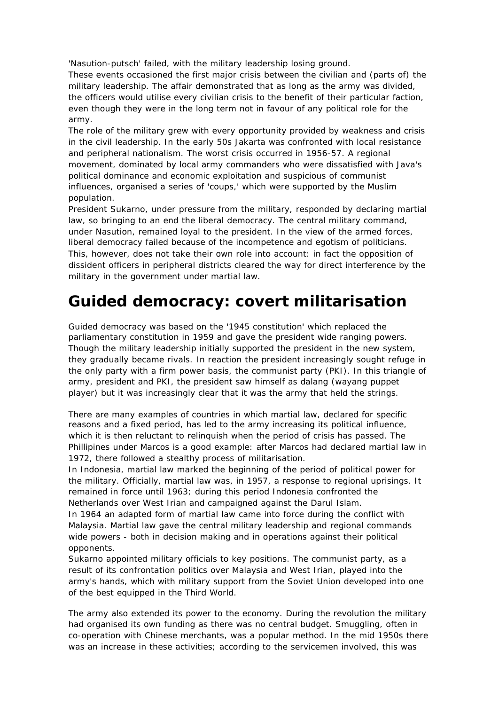'Nasution-putsch' failed, with the military leadership losing ground.

These events occasioned the first major crisis between the civilian and (parts of) the military leadership. The affair demonstrated that as long as the army was divided, the officers would utilise every civilian crisis to the benefit of their particular faction, even though they were in the long term not in favour of any political role for the army.

The role of the military grew with every opportunity provided by weakness and crisis in the civil leadership. In the early 50s Jakarta was confronted with local resistance and peripheral nationalism. The worst crisis occurred in 1956-57. A regional movement, dominated by local army commanders who were dissatisfied with Java's political dominance and economic exploitation and suspicious of communist influences, organised a series of 'coups,' which were supported by the Muslim population.

President Sukarno, under pressure from the military, responded by declaring martial law, so bringing to an end the liberal democracy. The central military command, under Nasution, remained loyal to the president. In the view of the armed forces, liberal democracy failed because of the incompetence and egotism of politicians. This, however, does not take their own role into account: in fact the opposition of dissident officers in peripheral districts cleared the way for direct interference by the military in the government under martial law.

## **Guided democracy: covert militarisation**

Guided democracy was based on the '1945 constitution' which replaced the parliamentary constitution in 1959 and gave the president wide ranging powers. Though the military leadership initially supported the president in the new system, they gradually became rivals. In reaction the president increasingly sought refuge in the only party with a firm power basis, the communist party (PKI). In this triangle of army, president and PKI, the president saw himself as dalang (wayang puppet player) but it was increasingly clear that it was the army that held the strings.

There are many examples of countries in which martial law, declared for specific reasons and a fixed period, has led to the army increasing its political influence, which it is then reluctant to relinquish when the period of crisis has passed. The Phillipines under Marcos is a good example: after Marcos had declared martial law in 1972, there followed a stealthy process of militarisation.

In Indonesia, martial law marked the beginning of the period of political power for the military. Officially, martial law was, in 1957, a response to regional uprisings. It remained in force until 1963; during this period Indonesia confronted the Netherlands over West Irian and campaigned against the Darul Islam.

In 1964 an adapted form of martial law came into force during the conflict with Malaysia. Martial law gave the central military leadership and regional commands wide powers - both in decision making and in operations against their political opponents.

Sukarno appointed military officials to key positions. The communist party, as a result of its confrontation politics over Malaysia and West Irian, played into the army's hands, which with military support from the Soviet Union developed into one of the best equipped in the Third World.

The army also extended its power to the economy. During the revolution the military had organised its own funding as there was no central budget. Smuggling, often in co-operation with Chinese merchants, was a popular method. In the mid 1950s there was an increase in these activities; according to the servicemen involved, this was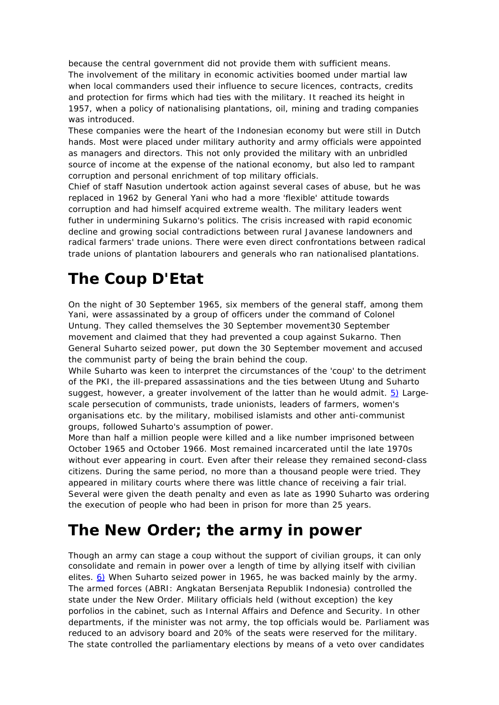because the central government did not provide them with sufficient means. The involvement of the military in economic activities boomed under martial law when local commanders used their influence to secure licences, contracts, credits and protection for firms which had ties with the military. It reached its height in 1957, when a policy of nationalising plantations, oil, mining and trading companies was introduced.

These companies were the heart of the Indonesian economy but were still in Dutch hands. Most were placed under military authority and army officials were appointed as managers and directors. This not only provided the military with an unbridled source of income at the expense of the national economy, but also led to rampant corruption and personal enrichment of top military officials.

Chief of staff Nasution undertook action against several cases of abuse, but he was replaced in 1962 by General Yani who had a more 'flexible' attitude towards corruption and had himself acquired extreme wealth. The military leaders went futher in undermining Sukarno's politics. The crisis increased with rapid economic decline and growing social contradictions between rural Javanese landowners and radical farmers' trade unions. There were even direct confrontations between radical trade unions of plantation labourers and generals who ran nationalised plantations.

# **The Coup D'Etat**

On the night of 30 September 1965, six members of the general staff, among them Yani, were assassinated by a group of officers under the command of Colonel Untung. They called themselves the 30 September movement30 September movement and claimed that they had prevented a coup against Sukarno. Then General Suharto seized power, put down the 30 September movement and accused the communist party of being the brain behind the coup.

While Suharto was keen to interpret the circumstances of the 'coup' to the detriment of the PKI, the ill-prepared assassinations and the ties between Utung and Suharto suggest, however, a greater involvement of the latter than he would admit.  $5$ ) Largescale persecution of communists, trade unionists, leaders of farmers, women's organisations etc. by the military, mobilised islamists and other anti-communist groups, followed Suharto's assumption of power.

More than half a million people were killed and a like number imprisoned between October 1965 and October 1966. Most remained incarcerated until the late 1970s without ever appearing in court. Even after their release they remained second-class citizens. During the same period, no more than a thousand people were tried. They appeared in military courts where there was little chance of receiving a fair trial. Several were given the death penalty and even as late as 1990 Suharto was ordering the execution of people who had been in prison for more than 25 years.

## **The New Order; the army in power**

Though an army can stage a coup without the support of civilian groups, it can only consolidate and remain in power over a length of time by allying itself with civilian elites.  $6$ ) When Suharto seized power in 1965, he was backed mainly by the army. The armed forces (ABRI: Angkatan Bersenjata Republik Indonesia) controlled the state under the New Order. Military officials held (without exception) the key porfolios in the cabinet, such as Internal Affairs and Defence and Security. In other departments, if the minister was not army, the top officials would be. Parliament was reduced to an advisory board and 20% of the seats were reserved for the military. The state controlled the parliamentary elections by means of a veto over candidates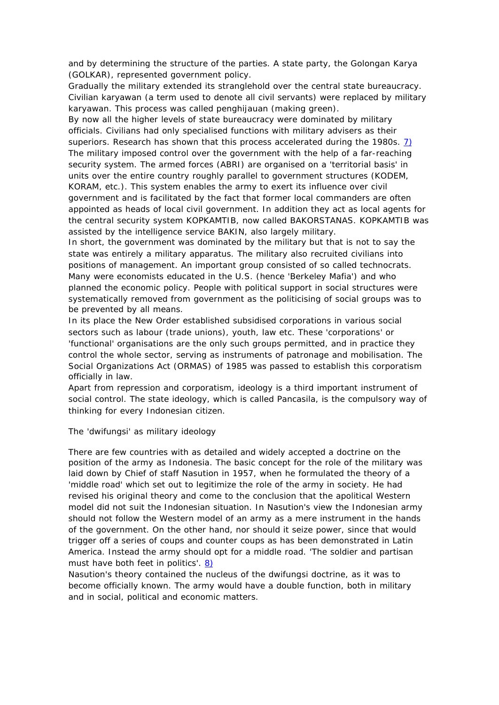and by determining the structure of the parties. A state party, the Golongan Karya (GOLKAR), represented government policy.

Gradually the military extended its stranglehold over the central state bureaucracy. Civilian karyawan (a term used to denote all civil servants) were replaced by military karyawan. This process was called penghijauan (making green).

By now all the higher levels of state bureaucracy were dominated by military officials. Civilians had only specialised functions with military advisers as their superiors. Research has shown that this process accelerated during the 1980s.  $\overline{1}$ The military imposed control over the government with the help of a far-reaching security system. The armed forces (ABRI) are organised on a 'territorial basis' in units over the entire country roughly parallel to government structures (KODEM, KORAM, etc.). This system enables the army to exert its influence over civil government and is facilitated by the fact that former local commanders are often appointed as heads of local civil government. In addition they act as local agents for the central security system KOPKAMTIB, now called BAKORSTANAS. KOPKAMTIB was assisted by the intelligence service BAKIN, also largely military.

In short, the government was dominated by the military but that is not to say the state was entirely a military apparatus. The military also recruited civilians into positions of management. An important group consisted of so called technocrats. Many were economists educated in the U.S. (hence 'Berkeley Mafia') and who planned the economic policy. People with political support in social structures were systematically removed from government as the politicising of social groups was to be prevented by all means.

In its place the New Order established subsidised corporations in various social sectors such as labour (trade unions), youth, law etc. These 'corporations' or 'functional' organisations are the only such groups permitted, and in practice they control the whole sector, serving as instruments of patronage and mobilisation. The Social Organizations Act (ORMAS) of 1985 was passed to establish this corporatism officially in law.

Apart from repression and corporatism, ideology is a third important instrument of social control. The state ideology, which is called Pancasila, is the compulsory way of thinking for every Indonesian citizen.

The 'dwifungsi' as military ideology

There are few countries with as detailed and widely accepted a doctrine on the position of the army as Indonesia. The basic concept for the role of the military was laid down by Chief of staff Nasution in 1957, when he formulated the theory of a 'middle road' which set out to legitimize the role of the army in society. He had revised his original theory and come to the conclusion that the apolitical Western model did not suit the Indonesian situation. In Nasution's view the Indonesian army should not follow the Western model of an army as a mere instrument in the hands of the government. On the other hand, nor should it seize power, since that would trigger off a series of coups and counter coups as has been demonstrated in Latin America. Instead the army should opt for a middle road. 'The soldier and partisan must have both feet in politics'. 8)

Nasution's theory contained the nucleus of the dwifungsi doctrine, as it was to become officially known. The army would have a double function, both in military and in social, political and economic matters.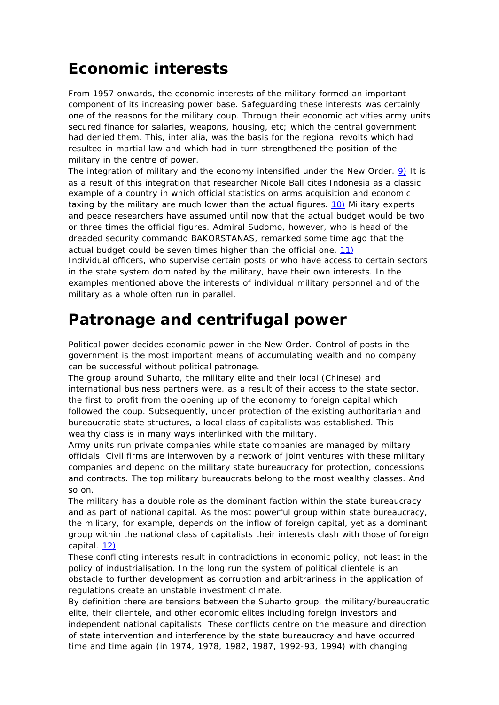## **Economic interests**

From 1957 onwards, the economic interests of the military formed an important component of its increasing power base. Safeguarding these interests was certainly one of the reasons for the military coup. Through their economic activities army units secured finance for salaries, weapons, housing, etc; which the central government had denied them. This, inter alia, was the basis for the regional revolts which had resulted in martial law and which had in turn strengthened the position of the military in the centre of power.

The integration of military and the economy intensified under the New Order. 9) It is as a result of this integration that researcher Nicole Ball cites Indonesia as a classic example of a country in which official statistics on arms acquisition and economic taxing by the military are much lower than the actual figures.  $10$ ) Military experts and peace researchers have assumed until now that the actual budget would be two or three times the official figures. Admiral Sudomo, however, who is head of the dreaded security commando BAKORSTANAS, remarked some time ago that the actual budget could be seven times higher than the official one.  $11$ )

Individual officers, who supervise certain posts or who have access to certain sectors in the state system dominated by the military, have their own interests. In the examples mentioned above the interests of individual military personnel and of the military as a whole often run in parallel.

## **Patronage and centrifugal power**

Political power decides economic power in the New Order. Control of posts in the government is the most important means of accumulating wealth and no company can be successful without political patronage.

The group around Suharto, the military elite and their local (Chinese) and international business partners were, as a result of their access to the state sector, the first to profit from the opening up of the economy to foreign capital which followed the coup. Subsequently, under protection of the existing authoritarian and bureaucratic state structures, a local class of capitalists was established. This wealthy class is in many ways interlinked with the military.

Army units run private companies while state companies are managed by miltary officials. Civil firms are interwoven by a network of joint ventures with these military companies and depend on the military state bureaucracy for protection, concessions and contracts. The top military bureaucrats belong to the most wealthy classes. And so on.

The military has a double role as the dominant faction within the state bureaucracy and as part of national capital. As the most powerful group within state bureaucracy, the military, for example, depends on the inflow of foreign capital, yet as a dominant group within the national class of capitalists their interests clash with those of foreign capital. 12)

These conflicting interests result in contradictions in economic policy, not least in the policy of industrialisation. In the long run the system of political clientele is an obstacle to further development as corruption and arbitrariness in the application of regulations create an unstable investment climate.

By definition there are tensions between the Suharto group, the military/bureaucratic elite, their clientele, and other economic elites including foreign investors and independent national capitalists. These conflicts centre on the measure and direction of state intervention and interference by the state bureaucracy and have occurred time and time again (in 1974, 1978, 1982, 1987, 1992-93, 1994) with changing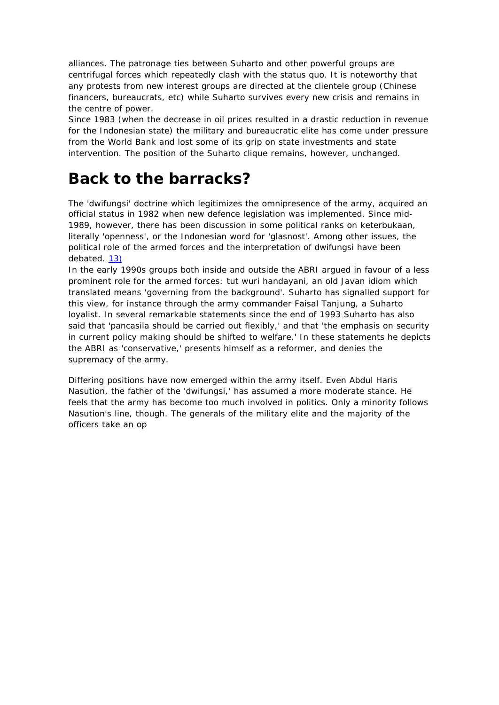alliances. The patronage ties between Suharto and other powerful groups are centrifugal forces which repeatedly clash with the status quo. It is noteworthy that any protests from new interest groups are directed at the clientele group (Chinese financers, bureaucrats, etc) while Suharto survives every new crisis and remains in the centre of power.

Since 1983 (when the decrease in oil prices resulted in a drastic reduction in revenue for the Indonesian state) the military and bureaucratic elite has come under pressure from the World Bank and lost some of its grip on state investments and state intervention. The position of the Suharto clique remains, however, unchanged.

## **Back to the barracks?**

The 'dwifungsi' doctrine which legitimizes the omnipresence of the army, acquired an official status in 1982 when new defence legislation was implemented. Since mid-1989, however, there has been discussion in some political ranks on keterbukaan, literally 'openness', or the Indonesian word for 'glasnost'. Among other issues, the political role of the armed forces and the interpretation of dwifungsi have been debated. 13)

In the early 1990s groups both inside and outside the ABRI argued in favour of a less prominent role for the armed forces: tut wuri handayani, an old Javan idiom which translated means 'governing from the background'. Suharto has signalled support for this view, for instance through the army commander Faisal Tanjung, a Suharto loyalist. In several remarkable statements since the end of 1993 Suharto has also said that 'pancasila should be carried out flexibly,' and that 'the emphasis on security in current policy making should be shifted to welfare.' In these statements he depicts the ABRI as 'conservative,' presents himself as a reformer, and denies the supremacy of the army.

Differing positions have now emerged within the army itself. Even Abdul Haris Nasution, the father of the 'dwifungsi,' has assumed a more moderate stance. He feels that the army has become too much involved in politics. Only a minority follows Nasution's line, though. The generals of the military elite and the majority of the officers take an op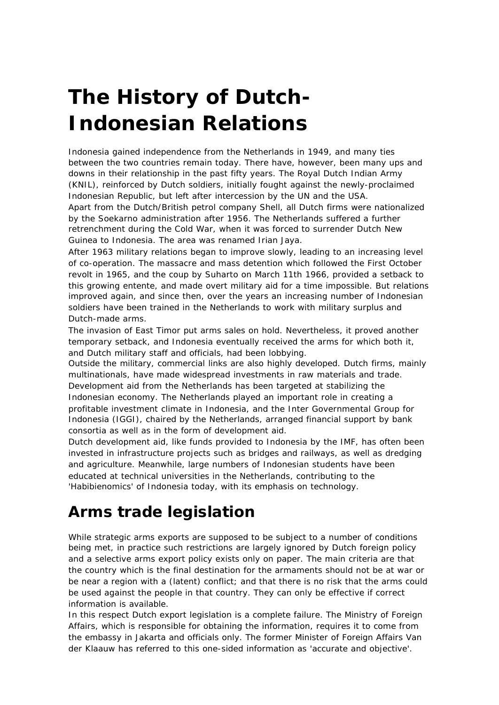# **The History of Dutch-Indonesian Relations**

Indonesia gained independence from the Netherlands in 1949, and many ties between the two countries remain today. There have, however, been many ups and downs in their relationship in the past fifty years. The Royal Dutch Indian Army (KNIL), reinforced by Dutch soldiers, initially fought against the newly-proclaimed Indonesian Republic, but left after intercession by the UN and the USA.

Apart from the Dutch/British petrol company Shell, all Dutch firms were nationalized by the Soekarno administration after 1956. The Netherlands suffered a further retrenchment during the Cold War, when it was forced to surrender Dutch New Guinea to Indonesia. The area was renamed Irian Jaya.

After 1963 military relations began to improve slowly, leading to an increasing level of co-operation. The massacre and mass detention which followed the First October revolt in 1965, and the coup by Suharto on March 11th 1966, provided a setback to this growing entente, and made overt military aid for a time impossible. But relations improved again, and since then, over the years an increasing number of Indonesian soldiers have been trained in the Netherlands to work with military surplus and Dutch-made arms.

The invasion of East Timor put arms sales on hold. Nevertheless, it proved another temporary setback, and Indonesia eventually received the arms for which both it, and Dutch military staff and officials, had been lobbying.

Outside the military, commercial links are also highly developed. Dutch firms, mainly multinationals, have made widespread investments in raw materials and trade. Development aid from the Netherlands has been targeted at stabilizing the Indonesian economy. The Netherlands played an important role in creating a profitable investment climate in Indonesia, and the Inter Governmental Group for Indonesia (IGGI), chaired by the Netherlands, arranged financial support by bank consortia as well as in the form of development aid.

Dutch development aid, like funds provided to Indonesia by the IMF, has often been invested in infrastructure projects such as bridges and railways, as well as dredging and agriculture. Meanwhile, large numbers of Indonesian students have been educated at technical universities in the Netherlands, contributing to the 'Habibienomics' of Indonesia today, with its emphasis on technology.

## **Arms trade legislation**

While strategic arms exports are supposed to be subject to a number of conditions being met, in practice such restrictions are largely ignored by Dutch foreign policy and a selective arms export policy exists only on paper. The main criteria are that the country which is the final destination for the armaments should not be at war or be near a region with a (latent) conflict; and that there is no risk that the arms could be used against the people in that country. They can only be effective if correct information is available.

In this respect Dutch export legislation is a complete failure. The Ministry of Foreign Affairs, which is responsible for obtaining the information, requires it to come from the embassy in Jakarta and officials only. The former Minister of Foreign Affairs Van der Klaauw has referred to this one-sided information as 'accurate and objective'.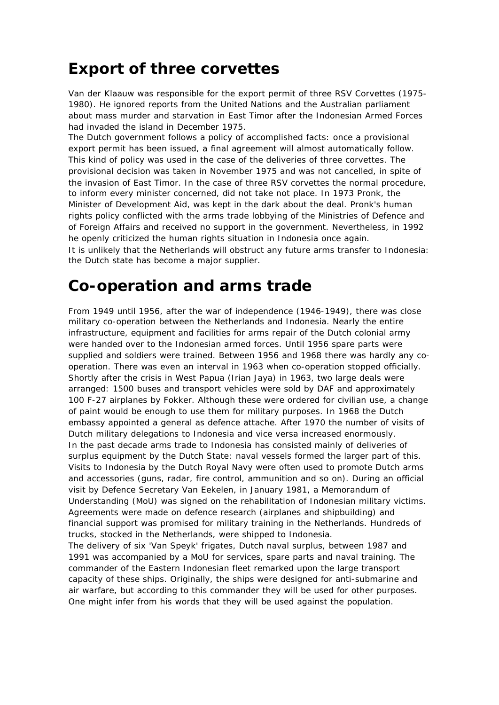## **Export of three corvettes**

Van der Klaauw was responsible for the export permit of three RSV Corvettes (1975- 1980). He ignored reports from the United Nations and the Australian parliament about mass murder and starvation in East Timor after the Indonesian Armed Forces had invaded the island in December 1975.

The Dutch government follows a policy of accomplished facts: once a provisional export permit has been issued, a final agreement will almost automatically follow. This kind of policy was used in the case of the deliveries of three corvettes. The provisional decision was taken in November 1975 and was not cancelled, in spite of the invasion of East Timor. In the case of three RSV corvettes the normal procedure, to inform every minister concerned, did not take not place. In 1973 Pronk, the Minister of Development Aid, was kept in the dark about the deal. Pronk's human rights policy conflicted with the arms trade lobbying of the Ministries of Defence and of Foreign Affairs and received no support in the government. Nevertheless, in 1992 he openly criticized the human rights situation in Indonesia once again. It is unlikely that the Netherlands will obstruct any future arms transfer to Indonesia: the Dutch state has become a major supplier.

#### **Co-operation and arms trade**

From 1949 until 1956, after the war of independence (1946-1949), there was close military co-operation between the Netherlands and Indonesia. Nearly the entire infrastructure, equipment and facilities for arms repair of the Dutch colonial army were handed over to the Indonesian armed forces. Until 1956 spare parts were supplied and soldiers were trained. Between 1956 and 1968 there was hardly any cooperation. There was even an interval in 1963 when co-operation stopped officially. Shortly after the crisis in West Papua (Irian Jaya) in 1963, two large deals were arranged: 1500 buses and transport vehicles were sold by DAF and approximately 100 F-27 airplanes by Fokker. Although these were ordered for civilian use, a change of paint would be enough to use them for military purposes. In 1968 the Dutch embassy appointed a general as defence attache. After 1970 the number of visits of Dutch military delegations to Indonesia and vice versa increased enormously. In the past decade arms trade to Indonesia has consisted mainly of deliveries of surplus equipment by the Dutch State: naval vessels formed the larger part of this. Visits to Indonesia by the Dutch Royal Navy were often used to promote Dutch arms and accessories (guns, radar, fire control, ammunition and so on). During an official visit by Defence Secretary Van Eekelen, in January 1981, a Memorandum of Understanding (MoU) was signed on the rehabilitation of Indonesian military victims. Agreements were made on defence research (airplanes and shipbuilding) and financial support was promised for military training in the Netherlands. Hundreds of trucks, stocked in the Netherlands, were shipped to Indonesia.

The delivery of six 'Van Speyk' frigates, Dutch naval surplus, between 1987 and 1991 was accompanied by a MoU for services, spare parts and naval training. The commander of the Eastern Indonesian fleet remarked upon the large transport capacity of these ships. Originally, the ships were designed for anti-submarine and air warfare, but according to this commander they will be used for other purposes. One might infer from his words that they will be used against the population.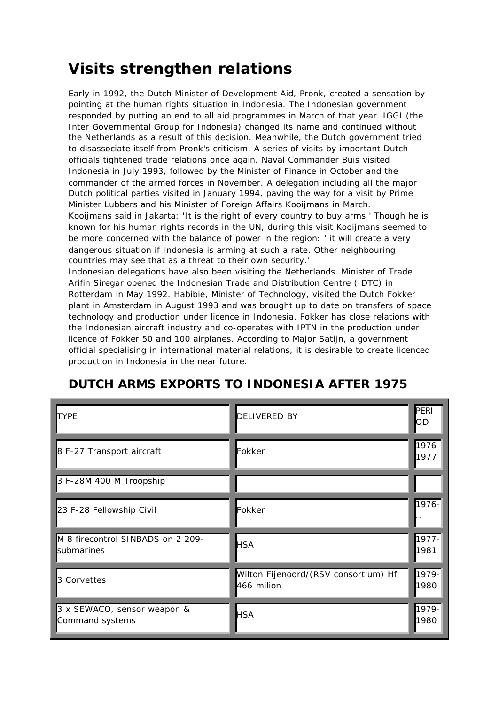## **Visits strengthen relations**

Early in 1992, the Dutch Minister of Development Aid, Pronk, created a sensation by pointing at the human rights situation in Indonesia. The Indonesian government responded by putting an end to all aid programmes in March of that year. IGGI (the Inter Governmental Group for Indonesia) changed its name and continued without the Netherlands as a result of this decision. Meanwhile, the Dutch government tried to disassociate itself from Pronk's criticism. A series of visits by important Dutch officials tightened trade relations once again. Naval Commander Buis visited Indonesia in July 1993, followed by the Minister of Finance in October and the commander of the armed forces in November. A delegation including all the major Dutch political parties visited in January 1994, paving the way for a visit by Prime Minister Lubbers and his Minister of Foreign Affairs Kooijmans in March. Kooijmans said in Jakarta: 'It is the right of every country to buy arms ' Though he is known for his human rights records in the UN, during this visit Kooijmans seemed to be more concerned with the balance of power in the region: ' it will create a very dangerous situation if Indonesia is arming at such a rate. Other neighbouring countries may see that as a threat to their own security.'

Indonesian delegations have also been visiting the Netherlands. Minister of Trade Arifin Siregar opened the Indonesian Trade and Distribution Centre (IDTC) in Rotterdam in May 1992. Habibie, Minister of Technology, visited the Dutch Fokker plant in Amsterdam in August 1993 and was brought up to date on transfers of space technology and production under licence in Indonesia. Fokker has close relations with the Indonesian aircraft industry and co-operates with IPTN in the production under licence of Fokker 50 and 100 airplanes. According to Major Satijn, a government official specialising in international material relations, it is desirable to create licenced production in Indonesia in the near future.

| <b>ITYPE</b>                                    | <b>DELIVERED BY</b>                                 | PERI<br>OD    |
|-------------------------------------------------|-----------------------------------------------------|---------------|
| 8 F-27 Transport aircraft                       | Fokker                                              | 1976-<br>1977 |
| 3 F-28M 400 M Troopship                         |                                                     |               |
| 23 F-28 Fellowship Civil                        | Fokker                                              | 1976-         |
| M 8 firecontrol SINBADS on 2 209-<br>submarines | <b>HSA</b>                                          | 1977-<br>1981 |
| 3 Corvettes                                     | Wilton Fijenoord/(RSV consortium) Hfl<br>466 milion | 1979-<br>1980 |
| 3 x SEWACO, sensor weapon &<br>Command systems  | <b>HSA</b>                                          | 1979-<br>1980 |

#### **DUTCH ARMS EXPORTS TO INDONESIA AFTER 1975**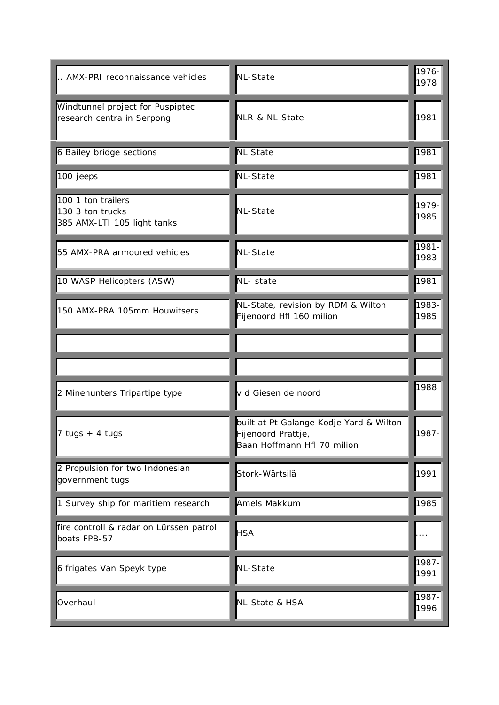| AMX-PRI reconnaissance vehicles                                       | NL-State                                                                                     | 1976-<br>1978 |
|-----------------------------------------------------------------------|----------------------------------------------------------------------------------------------|---------------|
| Windtunnel project for Puspiptec<br>research centra in Serpong        | NLR & NL-State                                                                               | 1981          |
| 6 Bailey bridge sections                                              | <b>NL State</b>                                                                              | 1981          |
| 100 jeeps                                                             | <b>NL-State</b>                                                                              | 1981          |
| 100 1 ton trailers<br>130 3 ton trucks<br>385 AMX-LTI 105 light tanks | <b>NL-State</b>                                                                              | 1979-<br>1985 |
| 55 AMX-PRA armoured vehicles                                          | <b>NL-State</b>                                                                              | 1981-<br>1983 |
| 10 WASP Helicopters (ASW)                                             | NL- state                                                                                    | 1981          |
| 150 AMX-PRA 105mm Houwitsers                                          | NL-State, revision by RDM & Wilton<br>Fijenoord Hfl 160 milion                               | 1983-<br>1985 |
|                                                                       |                                                                                              |               |
|                                                                       |                                                                                              |               |
| 2 Minehunters Tripartipe type                                         | v d Giesen de noord                                                                          | 1988          |
| 7 tugs + 4 tugs                                                       | built at Pt Galange Kodje Yard & Wilton<br>Fijenoord Prattje,<br>Baan Hoffmann Hfl 70 milion | 1987-         |
| 2 Propulsion for two Indonesian<br>government tugs                    | Stork-Wärtsilä                                                                               | 1991          |
| 1 Survey ship for maritiem research                                   | Amels Makkum                                                                                 | 1985          |
| fire controll & radar on Lürssen patrol<br>boats FPB-57               | <b>HSA</b>                                                                                   |               |
| 6 frigates Van Speyk type                                             | <b>NL-State</b>                                                                              | 1987-<br>1991 |
| Overhaul                                                              | NL-State & HSA                                                                               | 1987-<br>1996 |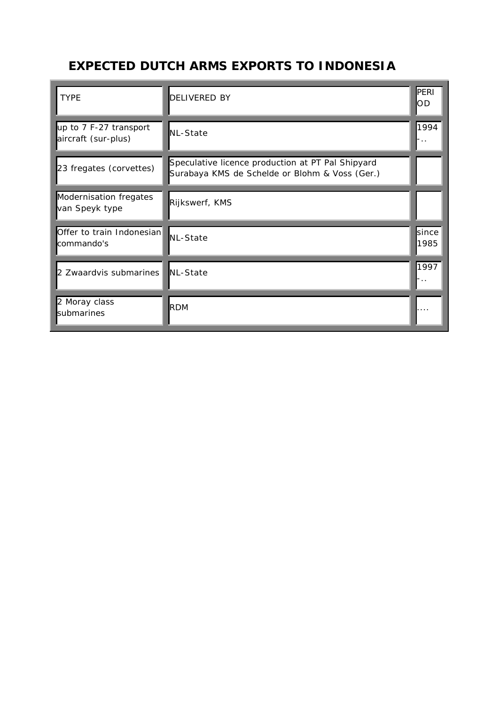#### **EXPECTED DUTCH ARMS EXPORTS TO INDONESIA**

| <b>TYPE</b>                                   | <b>DELIVERED BY</b>                                                                                 | PERI<br>OD    |
|-----------------------------------------------|-----------------------------------------------------------------------------------------------------|---------------|
| up to 7 F-27 transport<br>aircraft (sur-plus) | NL-State                                                                                            | 1994<br>-     |
| 23 fregates (corvettes)                       | Speculative licence production at PT Pal Shipyard<br>Surabaya KMS de Schelde or Blohm & Voss (Ger.) |               |
| Modernisation fregates<br>van Speyk type      | Rijkswerf, KMS                                                                                      |               |
| Offer to train Indonesian<br>commando's       | <b>I</b> NL-State                                                                                   | since<br>1985 |
| 2 Zwaardvis submarines                        | <b>NL-State</b>                                                                                     | 1997          |
| 2 Moray class<br>submarines                   | <b>RDM</b>                                                                                          | .             |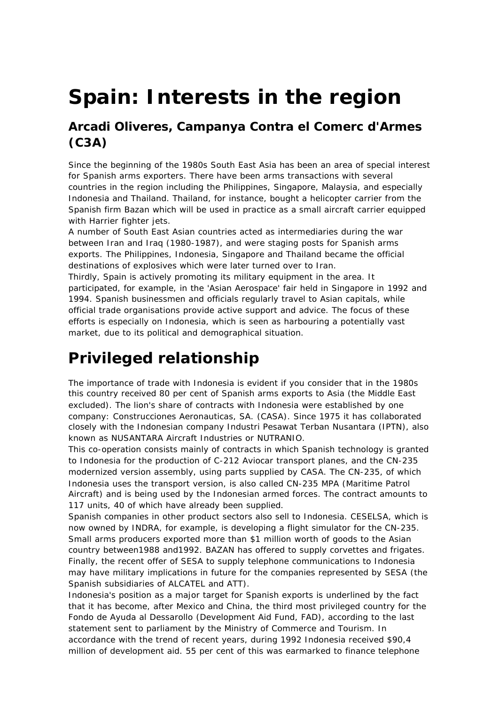# **Spain: Interests in the region**

#### **Arcadi Oliveres, Campanya Contra el Comerc d'Armes (C3A)**

*Since the beginning of the 1980s South East Asia has been an area of special interest for Spanish arms exporters. There have been arms transactions with several countries in the region including the Philippines, Singapore, Malaysia, and especially Indonesia and Thailand. Thailand, for instance, bought a helicopter carrier from the Spanish firm Bazan which will be used in practice as a small aircraft carrier equipped with Harrier fighter jets.*

*A number of South East Asian countries acted as intermediaries during the war between Iran and Iraq (1980-1987), and were staging posts for Spanish arms exports. The Philippines, Indonesia, Singapore and Thailand became the official destinations of explosives which were later turned over to Iran.*

*Thirdly, Spain is actively promoting its military equipment in the area. It participated, for example, in the 'Asian Aerospace' fair held in Singapore in 1992 and 1994. Spanish businessmen and officials regularly travel to Asian capitals, while official trade organisations provide active support and advice. The focus of these efforts is especially on Indonesia, which is seen as harbouring a potentially vast market, due to its political and demographical situation.*

## **Privileged relationship**

The importance of trade with Indonesia is evident if you consider that in the 1980s this country received 80 per cent of Spanish arms exports to Asia (the Middle East excluded). The lion's share of contracts with Indonesia were established by one company: Construcciones Aeronauticas, SA. (CASA). Since 1975 it has collaborated closely with the Indonesian company Industri Pesawat Terban Nusantara (IPTN), also known as NUSANTARA Aircraft Industries or NUTRANIO.

This co-operation consists mainly of contracts in which Spanish technology is granted to Indonesia for the production of C-212 Aviocar transport planes, and the CN-235 modernized version assembly, using parts supplied by CASA. The CN-235, of which Indonesia uses the transport version, is also called CN-235 MPA (Maritime Patrol Aircraft) and is being used by the Indonesian armed forces. The contract amounts to 117 units, 40 of which have already been supplied.

Spanish companies in other product sectors also sell to Indonesia. CESELSA, which is now owned by INDRA, for example, is developing a flight simulator for the CN-235. Small arms producers exported more than \$1 million worth of goods to the Asian country between1988 and1992. BAZAN has offered to supply corvettes and frigates. Finally, the recent offer of SESA to supply telephone communications to Indonesia may have military implications in future for the companies represented by SESA (the Spanish subsidiaries of ALCATEL and ATT).

Indonesia's position as a major target for Spanish exports is underlined by the fact that it has become, after Mexico and China, the third most privileged country for the Fondo de Ayuda al Dessarollo (Development Aid Fund, FAD), according to the last statement sent to parliament by the Ministry of Commerce and Tourism. In accordance with the trend of recent years, during 1992 Indonesia received \$90,4 million of development aid. 55 per cent of this was earmarked to finance telephone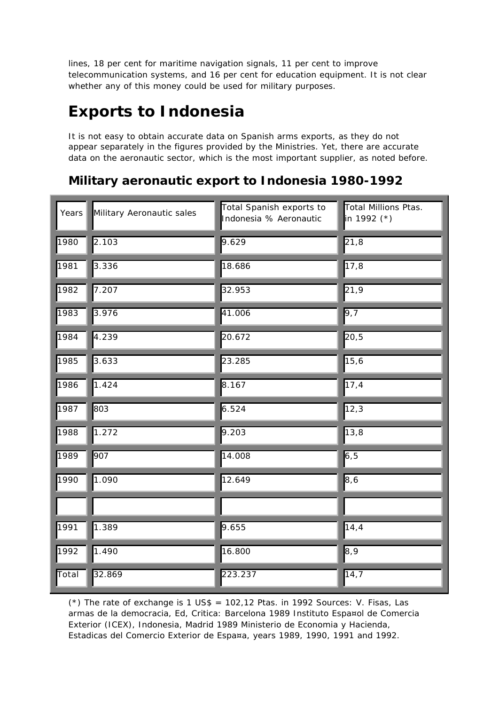lines, 18 per cent for maritime navigation signals, 11 per cent to improve telecommunication systems, and 16 per cent for education equipment. It is not clear whether any of this money could be used for military purposes.

## **Exports to Indonesia**

It is not easy to obtain accurate data on Spanish arms exports, as they do not appear separately in the figures provided by the Ministries. Yet, there are accurate data on the aeronautic sector, which is the most important supplier, as noted before.

#### **Military aeronautic export to Indonesia 1980-1992**

| Years | Military Aeronautic sales | Total Spanish exports to<br>Indonesia % Aeronautic | <b>Total Millions Ptas.</b><br>in 1992 (*) |
|-------|---------------------------|----------------------------------------------------|--------------------------------------------|
| 1980  | 2.103                     | 9.629                                              | 21,8                                       |
| 1981  | 3.336                     | 18.686                                             | $\overline{1}$ 7,8                         |
| 1982  | 7.207                     | 32.953                                             | 21,9                                       |
| 1983  | 3.976                     | 41.006                                             | 9,7                                        |
| 1984  | 4.239                     | 20.672                                             | 20,5                                       |
| 1985  | 3.633                     | 23.285                                             | 15,6                                       |
| 1986  | 1.424                     | 8.167                                              | $\overline{17,4}$                          |
| 1987  | 803                       | 6.524                                              | $\overline{12,3}$                          |
| 1988  | 1.272                     | 9.203                                              | 13,8                                       |
| 1989  | 907                       | 14.008                                             | 6, 5                                       |
| 1990  | 1.090                     | 12.649                                             | 8,6                                        |
|       |                           |                                                    |                                            |
| 1991  | 1.389                     | 9.655                                              | 14,4                                       |
| 1992  | 1.490                     | 16.800                                             | 8,9                                        |
| Total | 32.869                    | 223.237                                            | $\overline{14}$ , 7                        |

(\*) The rate of exchange is 1 US\$ =  $102,12$  Ptas. in 1992 Sources: V. Fisas, Las armas de la democracia, Ed, Critica: Barcelona 1989 Instituto Espa¤ol de Comercia Exterior (ICEX), Indonesia, Madrid 1989 Ministerio de Economia y Hacienda, Estadicas del Comercio Exterior de Espa¤a, years 1989, 1990, 1991 and 1992.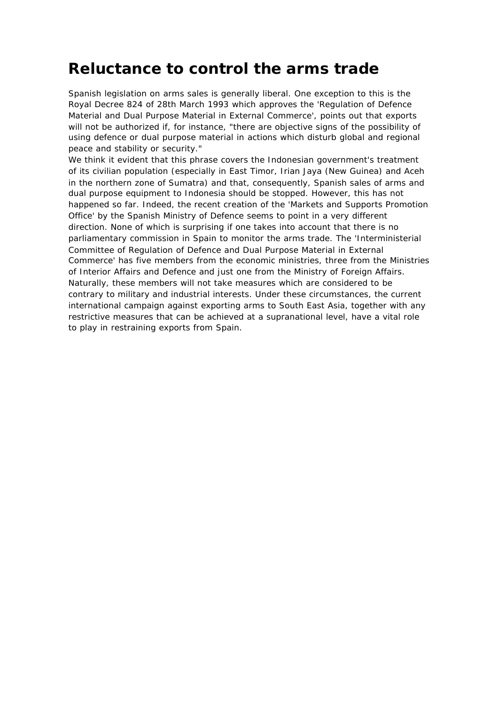### **Reluctance to control the arms trade**

Spanish legislation on arms sales is generally liberal. One exception to this is the Royal Decree 824 of 28th March 1993 which approves the 'Regulation of Defence Material and Dual Purpose Material in External Commerce', points out that exports will not be authorized if, for instance, "there are objective signs of the possibility of using defence or dual purpose material in actions which disturb global and regional peace and stability or security."

We think it evident that this phrase covers the Indonesian government's treatment of its civilian population (especially in East Timor, Irian Jaya (New Guinea) and Aceh in the northern zone of Sumatra) and that, consequently, Spanish sales of arms and dual purpose equipment to Indonesia should be stopped. However, this has not happened so far. Indeed, the recent creation of the 'Markets and Supports Promotion Office' by the Spanish Ministry of Defence seems to point in a very different direction. None of which is surprising if one takes into account that there is no parliamentary commission in Spain to monitor the arms trade. The 'Interministerial Committee of Regulation of Defence and Dual Purpose Material in External Commerce' has five members from the economic ministries, three from the Ministries of Interior Affairs and Defence and just one from the Ministry of Foreign Affairs. Naturally, these members will not take measures which are considered to be contrary to military and industrial interests. Under these circumstances, the current international campaign against exporting arms to South East Asia, together with any restrictive measures that can be achieved at a supranational level, have a vital role to play in restraining exports from Spain.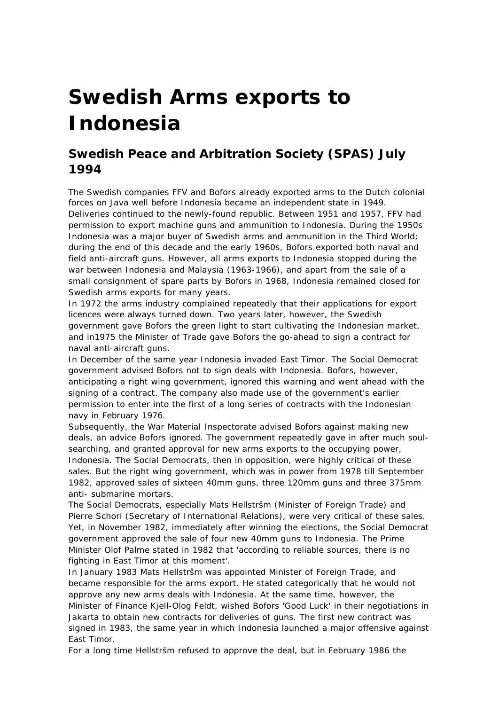# **Swedish Arms exports to Indonesia**

#### **Swedish Peace and Arbitration Society (SPAS) July 1994**

The Swedish companies FFV and Bofors already exported arms to the Dutch colonial forces on Java well before Indonesia became an independent state in 1949. Deliveries continued to the newly-found republic. Between 1951 and 1957, FFV had permission to export machine guns and ammunition to Indonesia. During the 1950s Indonesia was a major buyer of Swedish arms and ammunition in the Third World; during the end of this decade and the early 1960s, Bofors exported both naval and field anti-aircraft guns. However, all arms exports to Indonesia stopped during the war between Indonesia and Malaysia (1963-1966), and apart from the sale of a small consignment of spare parts by Bofors in 1968, Indonesia remained closed for Swedish arms exports for many years.

In 1972 the arms industry complained repeatedly that their applications for export licences were always turned down. Two years later, however, the Swedish government gave Bofors the green light to start cultivating the Indonesian market, and in1975 the Minister of Trade gave Bofors the go-ahead to sign a contract for naval anti-aircraft guns.

In December of the same year Indonesia invaded East Timor. The Social Democrat government advised Bofors not to sign deals with Indonesia. Bofors, however, anticipating a right wing government, ignored this warning and went ahead with the signing of a contract. The company also made use of the government's earlier permission to enter into the first of a long series of contracts with the Indonesian navy in February 1976.

Subsequently, the War Material Inspectorate advised Bofors against making new deals, an advice Bofors ignored. The government repeatedly gave in after much soulsearching, and granted approval for new arms exports to the occupying power, Indonesia. The Social Democrats, then in opposition, were highly critical of these sales. But the right wing government, which was in power from 1978 till September 1982, approved sales of sixteen 40mm guns, three 120mm guns and three 375mm anti- submarine mortars.

The Social Democrats, especially Mats Hellstršm (Minister of Foreign Trade) and Pierre Schori (Secretary of International Relations), were very critical of these sales. Yet, in November 1982, immediately after winning the elections, the Social Democrat government approved the sale of four new 40mm guns to Indonesia. The Prime Minister Olof Palme stated in 1982 that 'according to reliable sources, there is no fighting in East Timor at this moment'.

In January 1983 Mats Hellstršm was appointed Minister of Foreign Trade, and became responsible for the arms export. He stated categorically that he would not approve any new arms deals with Indonesia. At the same time, however, the Minister of Finance Kjell-Olog Feldt, wished Bofors 'Good Luck' in their negotiations in Jakarta to obtain new contracts for deliveries of guns. The first new contract was signed in 1983, the same year in which Indonesia launched a major offensive against East Timor.

For a long time Hellstršm refused to approve the deal, but in February 1986 the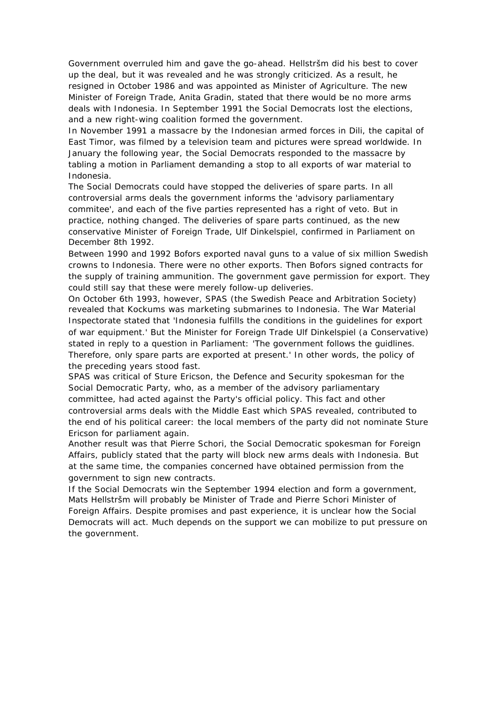Government overruled him and gave the go-ahead. Hellstršm did his best to cover up the deal, but it was revealed and he was strongly criticized. As a result, he resigned in October 1986 and was appointed as Minister of Agriculture. The new Minister of Foreign Trade, Anita Gradin, stated that there would be no more arms deals with Indonesia. In September 1991 the Social Democrats lost the elections, and a new right-wing coalition formed the government.

In November 1991 a massacre by the Indonesian armed forces in Dili, the capital of East Timor, was filmed by a television team and pictures were spread worldwide. In January the following year, the Social Democrats responded to the massacre by tabling a motion in Parliament demanding a stop to all exports of war material to Indonesia.

The Social Democrats could have stopped the deliveries of spare parts. In all controversial arms deals the government informs the 'advisory parliamentary commitee', and each of the five parties represented has a right of veto. But in practice, nothing changed. The deliveries of spare parts continued, as the new conservative Minister of Foreign Trade, Ulf Dinkelspiel, confirmed in Parliament on December 8th 1992.

Between 1990 and 1992 Bofors exported naval guns to a value of six million Swedish crowns to Indonesia. There were no other exports. Then Bofors signed contracts for the supply of training ammunition. The government gave permission for export. They could still say that these were merely follow-up deliveries.

On October 6th 1993, however, SPAS (the Swedish Peace and Arbitration Society) revealed that Kockums was marketing submarines to Indonesia. The War Material Inspectorate stated that 'Indonesia fulfills the conditions in the guidelines for export of war equipment.' But the Minister for Foreign Trade Ulf Dinkelspiel (a Conservative) stated in reply to a question in Parliament: 'The government follows the guidlines. Therefore, only spare parts are exported at present.' In other words, the policy of the preceding years stood fast.

SPAS was critical of Sture Ericson, the Defence and Security spokesman for the Social Democratic Party, who, as a member of the advisory parliamentary committee, had acted against the Party's official policy. This fact and other controversial arms deals with the Middle East which SPAS revealed, contributed to the end of his political career: the local members of the party did not nominate Sture Ericson for parliament again.

Another result was that Pierre Schori, the Social Democratic spokesman for Foreign Affairs, publicly stated that the party will block new arms deals with Indonesia. But at the same time, the companies concerned have obtained permission from the government to sign new contracts.

If the Social Democrats win the September 1994 election and form a government, Mats Hellstršm will probably be Minister of Trade and Pierre Schori Minister of Foreign Affairs. Despite promises and past experience, it is unclear how the Social Democrats will act. Much depends on the support we can mobilize to put pressure on the government.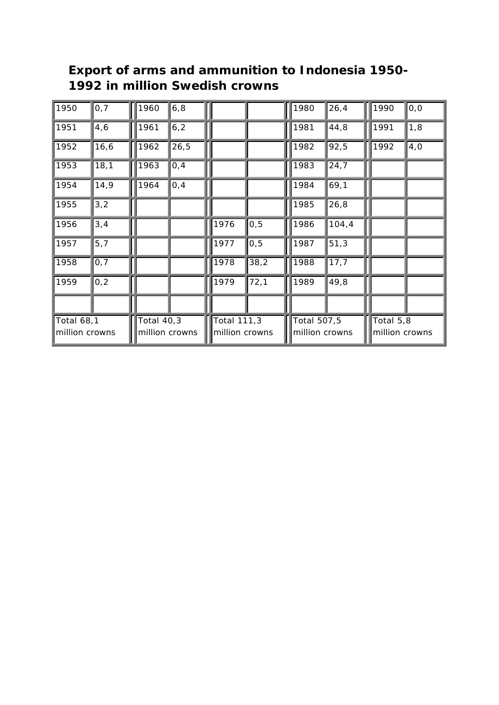| 1950                                | 0,7   | 1960                                | 6, 8 |                               |      | 1980                          | 26,4               | 1990                        | 0, 0 |
|-------------------------------------|-------|-------------------------------------|------|-------------------------------|------|-------------------------------|--------------------|-----------------------------|------|
| 1951                                | 4,6   | 1961                                | 6, 2 |                               |      | 1981                          | 44,8               | 1991                        | 1,8  |
| 1952                                | 16, 6 | 1962                                | 26,5 |                               |      | 1982                          | 92,5               | 1992                        | 4,0  |
| 1953                                | 18,1  | 1963                                | 0,4  |                               |      | 1983                          | $\overline{2}$ 4,7 |                             |      |
| 1954                                | 14,9  | 1964                                | 0,4  |                               |      | 1984                          | 69,1               |                             |      |
| 1955                                | 3,2   |                                     |      |                               |      | 1985                          | 26,8               |                             |      |
| 1956                                | 3,4   |                                     |      | 1976                          | 0, 5 | 1986                          | 104,4              |                             |      |
| 1957                                | 5,7   |                                     |      | 1977                          | 0, 5 | 1987                          | 51,3               |                             |      |
| 1958                                | 0,7   |                                     |      | 1978                          | 38,2 | 1988                          | 17,7               |                             |      |
| 1959                                | 0,2   |                                     |      | 1979                          | 72,1 | 1989                          | 49,8               |                             |      |
|                                     |       |                                     |      |                               |      |                               |                    |                             |      |
| <b>Total 68,1</b><br>million crowns |       | <b>Total 40,3</b><br>million crowns |      | Total 111,3<br>million crowns |      | Total 507,5<br>million crowns |                    | Total 5,8<br>million crowns |      |

#### **Export of arms and ammunition to Indonesia 1950- 1992 in million Swedish crowns**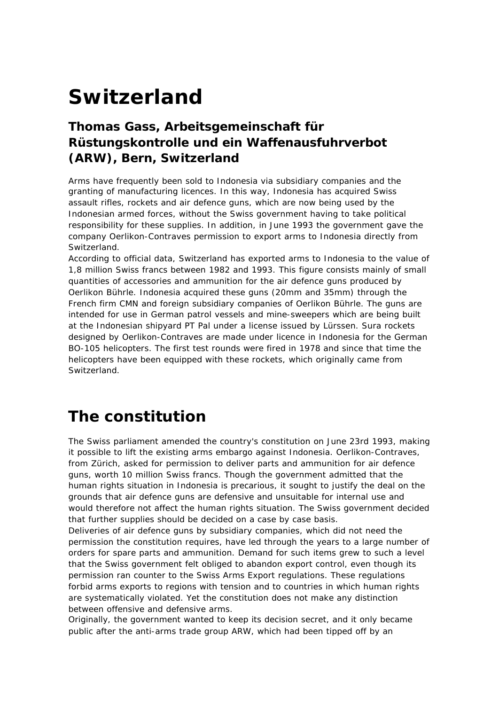# **Switzerland**

#### **Thomas Gass, Arbeitsgemeinschaft für Rüstungskontrolle und ein Waffenausfuhrverbot (ARW), Bern, Switzerland**

Arms have frequently been sold to Indonesia via subsidiary companies and the granting of manufacturing licences. In this way, Indonesia has acquired Swiss assault rifles, rockets and air defence guns, which are now being used by the Indonesian armed forces, without the Swiss government having to take political responsibility for these supplies. In addition, in June 1993 the government gave the company Oerlikon-Contraves permission to export arms to Indonesia directly from **Switzerland** 

According to official data, Switzerland has exported arms to Indonesia to the value of 1,8 million Swiss francs between 1982 and 1993. This figure consists mainly of small quantities of accessories and ammunition for the air defence guns produced by Oerlikon Bührle. Indonesia acquired these guns (20mm and 35mm) through the French firm CMN and foreign subsidiary companies of Oerlikon Bührle. The guns are intended for use in German patrol vessels and mine-sweepers which are being built at the Indonesian shipyard PT Pal under a license issued by Lürssen. Sura rockets designed by Oerlikon-Contraves are made under licence in Indonesia for the German BO-105 helicopters. The first test rounds were fired in 1978 and since that time the helicopters have been equipped with these rockets, which originally came from Switzerland.

## **The constitution**

The Swiss parliament amended the country's constitution on June 23rd 1993, making it possible to lift the existing arms embargo against Indonesia. Oerlikon-Contraves, from Zürich, asked for permission to deliver parts and ammunition for air defence guns, worth 10 million Swiss francs. Though the government admitted that the human rights situation in Indonesia is precarious, it sought to justify the deal on the grounds that air defence guns are defensive and unsuitable for internal use and would therefore not affect the human rights situation. The Swiss government decided that further supplies should be decided on a case by case basis.

Deliveries of air defence guns by subsidiary companies, which did not need the permission the constitution requires, have led through the years to a large number of orders for spare parts and ammunition. Demand for such items grew to such a level that the Swiss government felt obliged to abandon export control, even though its permission ran counter to the Swiss Arms Export regulations. These regulations forbid arms exports to regions with tension and to countries in which human rights are systematically violated. Yet the constitution does not make any distinction between offensive and defensive arms.

Originally, the government wanted to keep its decision secret, and it only became public after the anti-arms trade group ARW, which had been tipped off by an